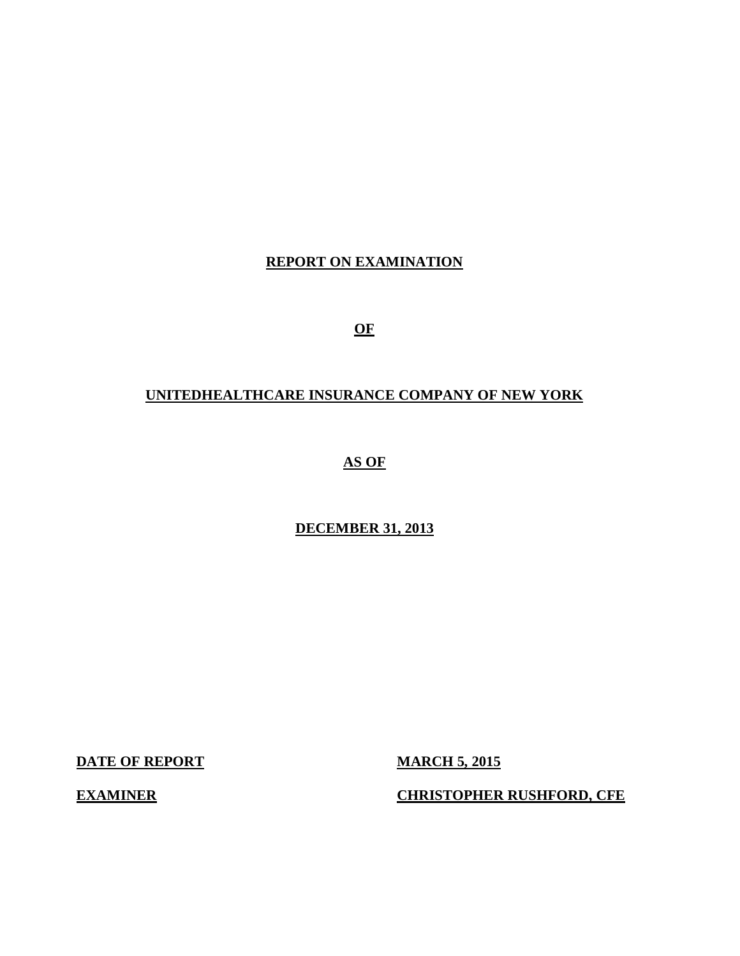# **REPORT ON EXAMINATION**

**OF** 

# **UNITEDHEALTHCARE INSURANCE COMPANY OF NEW YORK**

 **AS OF** 

# **DECEMBER 31, 2013**

**DATE OF REPORT MARCH 5, 2015** 

**EXAMINER CHRISTOPHER RUSHFORD, CFE**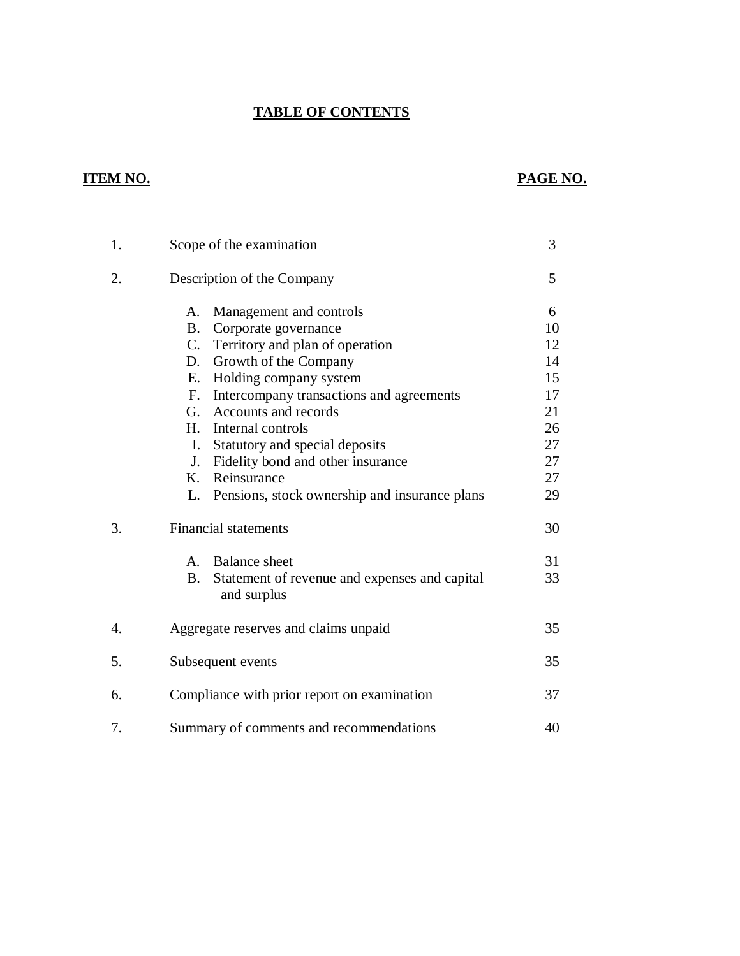## **TABLE OF CONTENTS**

# **ITEM NO.**

# **PAGE NO.**

| 1. | Scope of the examination                                                  | 3  |
|----|---------------------------------------------------------------------------|----|
| 2. | Description of the Company                                                | 5  |
|    | Management and controls<br>A.                                             | 6  |
|    | Corporate governance<br><b>B.</b>                                         | 10 |
|    | $C_{\cdot}$<br>Territory and plan of operation                            | 12 |
|    | Growth of the Company<br>D.                                               | 14 |
|    | Holding company system<br>E.                                              | 15 |
|    | F. Intercompany transactions and agreements                               | 17 |
|    | Accounts and records<br>G.                                                | 21 |
|    | H. Internal controls                                                      | 26 |
|    | Statutory and special deposits<br>I.                                      | 27 |
|    | Fidelity bond and other insurance<br>J.                                   | 27 |
|    | K.<br>Reinsurance                                                         | 27 |
|    | L.<br>Pensions, stock ownership and insurance plans                       | 29 |
| 3. | <b>Financial statements</b>                                               | 30 |
|    | A. Balance sheet                                                          | 31 |
|    | <b>B.</b><br>Statement of revenue and expenses and capital<br>and surplus | 33 |
| 4. | Aggregate reserves and claims unpaid                                      | 35 |
| 5. | Subsequent events                                                         | 35 |
| 6. | Compliance with prior report on examination                               | 37 |
| 7. | Summary of comments and recommendations                                   | 40 |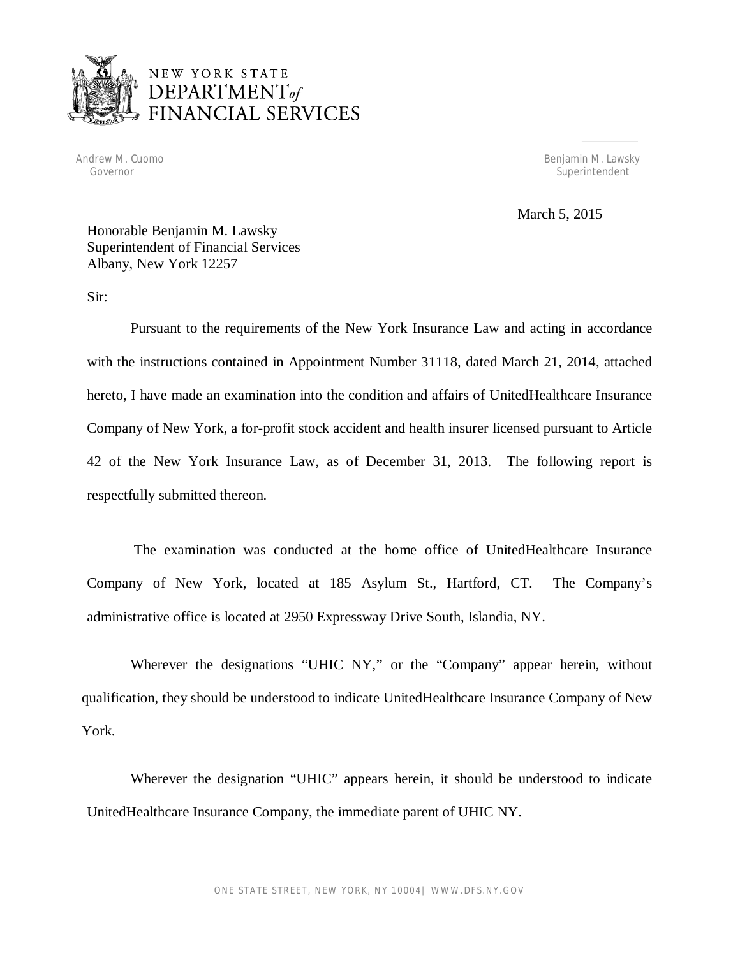

# NEW YORK STATE DEPARTMENT<sub>of</sub> **INANCIAL SERVICES**

Andrew M. Cuomo Governor

Benjamin M. Lawsky Superintendent

March 5, 2015

 Honorable Benjamin M. Lawsky Superintendent of Financial Services Albany, New York 12257

Sir:

 Pursuant to the requirements of the New York Insurance Law and acting in accordance with the instructions contained in Appointment Number 31118, dated March 21, 2014, attached hereto, I have made an examination into the condition and affairs of UnitedHealthcare Insurance Company of New York, a for-profit stock accident and health insurer licensed pursuant to Article 42 of the New York Insurance Law, as of December 31, 2013. The following report is respectfully submitted thereon.

 The examination was conducted at the home office of UnitedHealthcare Insurance Company of New York, located at 185 Asylum St., Hartford, CT. The Company's administrative office is located at 2950 Expressway Drive South, Islandia, NY.

 Wherever the designations "UHIC NY," or the "Company" appear herein, without qualification, they should be understood to indicate UnitedHealthcare Insurance Company of New York.

 Wherever the designation "UHIC" appears herein, it should be understood to indicate UnitedHealthcare Insurance Company, the immediate parent of UHIC NY.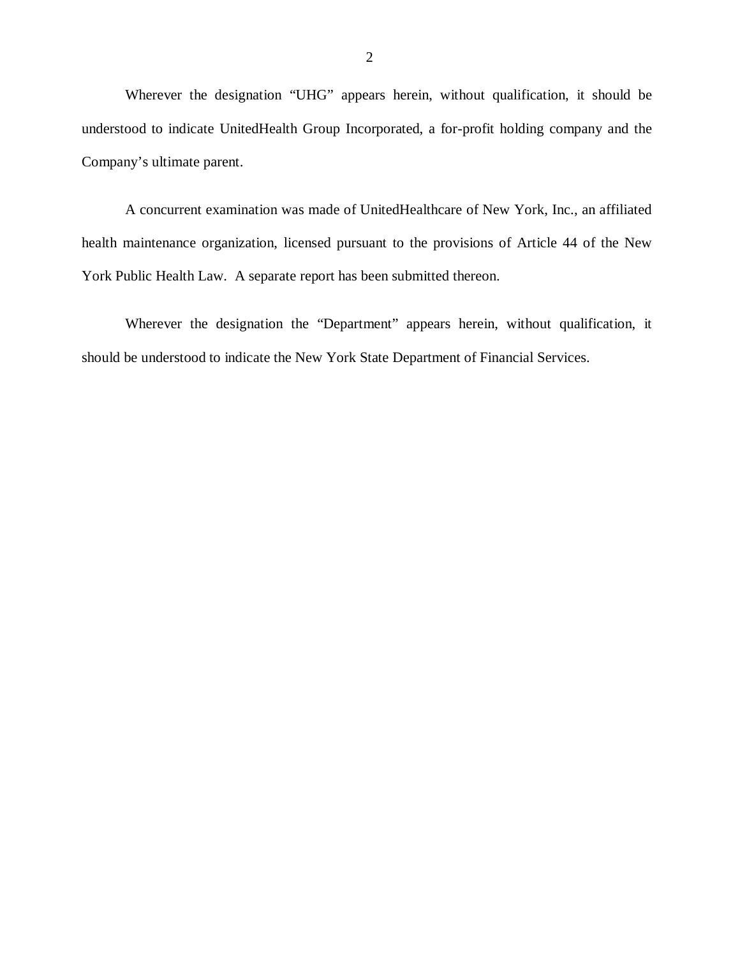Wherever the designation "UHG" appears herein, without qualification, it should be understood to indicate UnitedHealth Group Incorporated, a for-profit holding company and the Company's ultimate parent.

 A concurrent examination was made of UnitedHealthcare of New York, Inc., an affiliated health maintenance organization, licensed pursuant to the provisions of Article 44 of the New York Public Health Law. A separate report has been submitted thereon.

 Wherever the designation the "Department" appears herein, without qualification, it should be understood to indicate the New York State Department of Financial Services.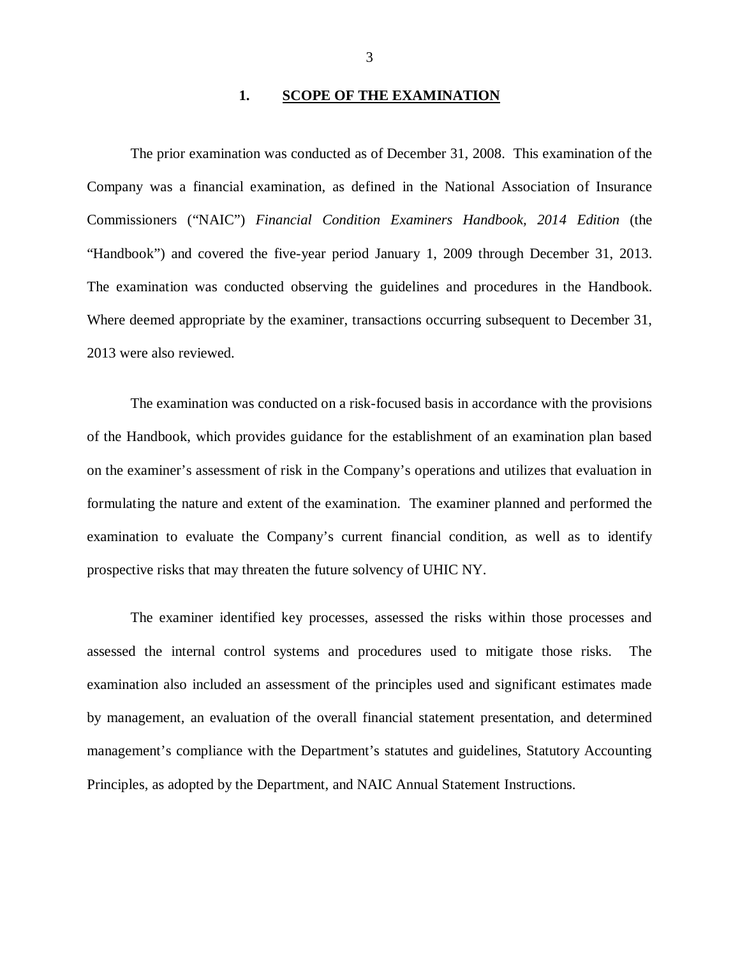#### **1. SCOPE OF THE EXAMINATION**

<span id="page-4-0"></span> Company was a financial examination, as defined in the National Association of Insurance Commissioners ("NAIC") *Financial Condition Examiners Handbook, 2014 Edition* (the "Handbook") and covered the five-year period January 1, 2009 through December 31, 2013. The examination was conducted observing the guidelines and procedures in the Handbook. Where deemed appropriate by the examiner, transactions occurring subsequent to December 31, 2013 were also reviewed. The prior examination was conducted as of December 31, 2008. This examination of the

 of the Handbook, which provides guidance for the establishment of an examination plan based on the examiner's assessment of risk in the Company's operations and utilizes that evaluation in formulating the nature and extent of the examination. The examiner planned and performed the examination to evaluate the Company's current financial condition, as well as to identify prospective risks that may threaten the future solvency of UHIC NY. The examination was conducted on a risk-focused basis in accordance with the provisions

 assessed the internal control systems and procedures used to mitigate those risks. The examination also included an assessment of the principles used and significant estimates made by management, an evaluation of the overall financial statement presentation, and determined management's compliance with the Department's statutes and guidelines, Statutory Accounting Principles, as adopted by the Department, and NAIC Annual Statement Instructions. The examiner identified key processes, assessed the risks within those processes and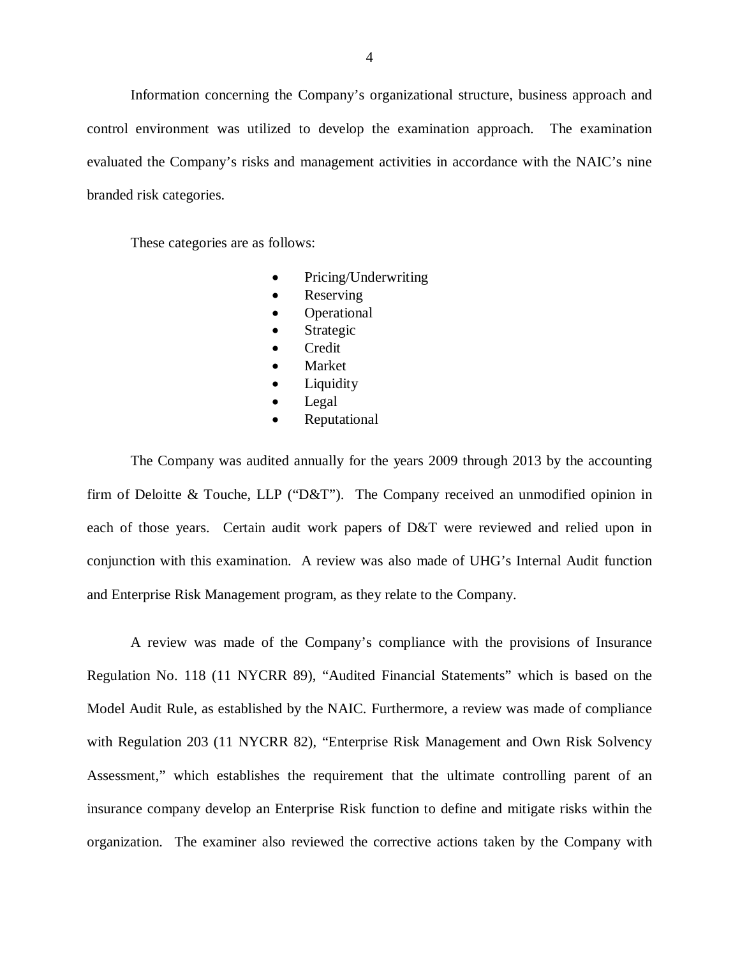Information concerning the Company's organizational structure, business approach and control environment was utilized to develop the examination approach. The examination evaluated the Company's risks and management activities in accordance with the NAIC's nine branded risk categories. branded risk categories.<br>These categories are as follows:

- Pricing/Underwriting
- Reserving
- Operational
- Strategic
- Credit
- Market
- Liquidity
- Legal
- Reputational

 The Company was audited annually for the years 2009 through 2013 by the accounting firm of Deloitte & Touche, LLP ("D&T"). The Company received an unmodified opinion in each of those years. Certain audit work papers of D&T were reviewed and relied upon in conjunction with this examination. A review was also made of UHG's Internal Audit function and Enterprise Risk Management program, as they relate to the Company.

 Regulation No. 118 (11 NYCRR 89), "Audited Financial Statements" which is based on the Model Audit Rule, as established by the NAIC. Furthermore, a review was made of compliance with Regulation 203 (11 NYCRR 82), "Enterprise Risk Management and Own Risk Solvency Assessment," which establishes the requirement that the ultimate controlling parent of an insurance company develop an Enterprise Risk function to define and mitigate risks within the organization. The examiner also reviewed the corrective actions taken by the Company with A review was made of the Company's compliance with the provisions of Insurance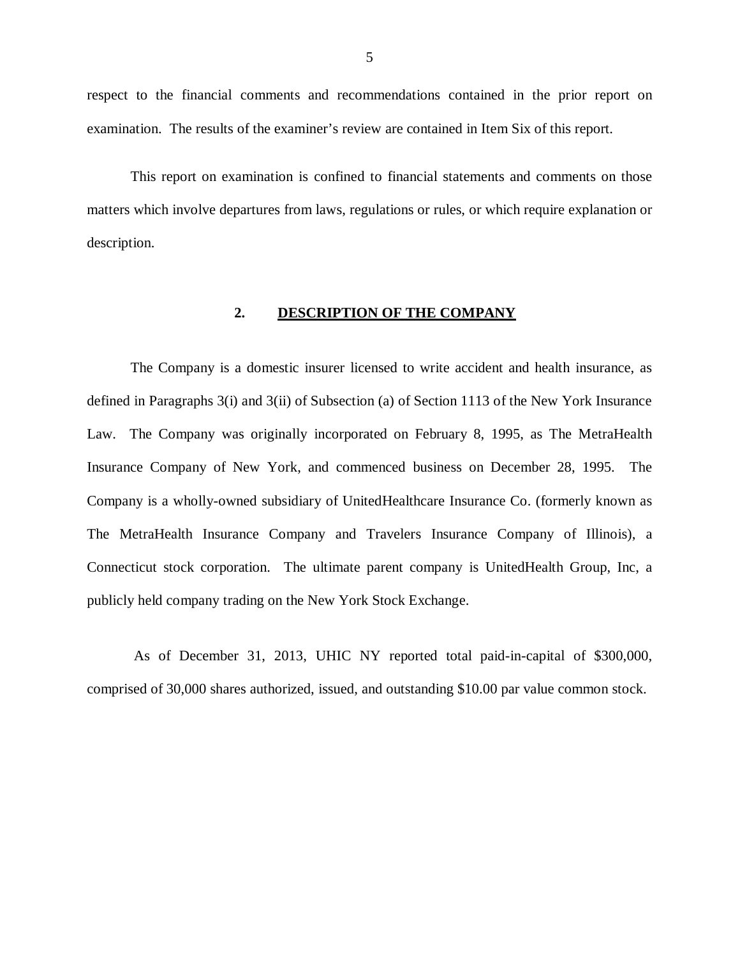<span id="page-6-0"></span> respect to the financial comments and recommendations contained in the prior report on examination. The results of the examiner's review are contained in Item Six of this report.

 matters which involve departures from laws, regulations or rules, or which require explanation or description. This report on examination is confined to financial statements and comments on those

#### **2. DESCRIPTION OF THE COMPANY**

 The Company is a domestic insurer licensed to write accident and health insurance, as defined in Paragraphs 3(i) and 3(ii) of Subsection (a) of Section 1113 of the New York Insurance Law. The Company was originally incorporated on February 8, 1995, as The MetraHealth Insurance Company of New York, and commenced business on December 28, 1995. The Company is a wholly-owned subsidiary of UnitedHealthcare Insurance Co. (formerly known as The MetraHealth Insurance Company and Travelers Insurance Company of Illinois), a Connecticut stock corporation. The ultimate parent company is UnitedHealth Group, Inc, a publicly held company trading on the New York Stock Exchange.

 As of December 31, 2013, UHIC NY reported total paid-in-capital of \$300,000, comprised of 30,000 shares authorized, issued, and outstanding \$10.00 par value common stock.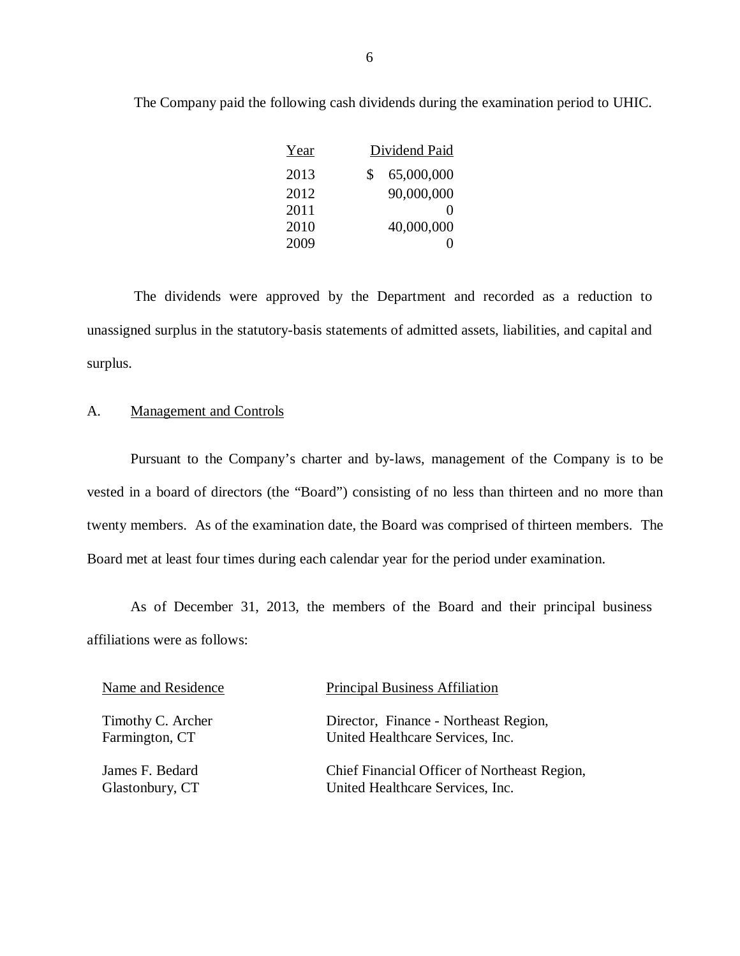| Year | Dividend Paid     |
|------|-------------------|
| 2013 | 65,000,000<br>S   |
| 2012 | 90,000,000        |
| 2011 | $\mathbf{\Omega}$ |
| 2010 | 40,000,000        |
| 2009 | 0                 |

The Company paid the following cash dividends during the examination period to UHIC.

 The dividends were approved by the Department and recorded as a reduction to unassigned surplus in the statutory-basis statements of admitted assets, liabilities, and capital and surplus.

#### A. Management and Controls

 Pursuant to the Company's charter and by-laws, management of the Company is to be vested in a board of directors (the "Board") consisting of no less than thirteen and no more than twenty members. As of the examination date, the Board was comprised of thirteen members. The Board met at least four times during each calendar year for the period under examination.

 affiliations were as follows: As of December 31, 2013, the members of the Board and their principal business

| Name and Residence | <b>Principal Business Affiliation</b>        |
|--------------------|----------------------------------------------|
| Timothy C. Archer  | Director, Finance - Northeast Region,        |
| Farmington, CT     | United Healthcare Services, Inc.             |
| James F. Bedard    | Chief Financial Officer of Northeast Region, |
| Glastonbury, CT    | United Healthcare Services, Inc.             |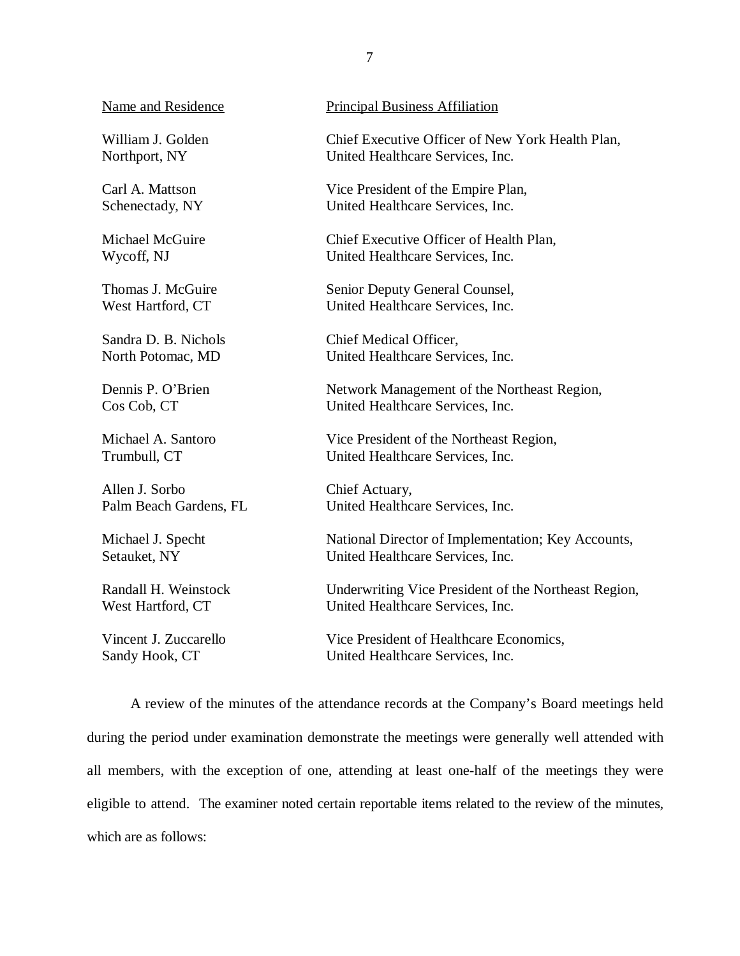William J. Golden Northport, NY

Carl A. Mattson Schenectady, NY

Michael McGuire Wycoff, NJ

Thomas J. McGuire West Hartford, CT

Sandra D. B. Nichols North Potomac, MD

Dennis P. O'Brien Cos Cob. CT

Michael A. Santoro Trumbull, CT

Allen J. Sorbo Palm Beach Gardens, FL

Michael J. Specht Setauket, NY

Randall H. Weinstock West Hartford, CT

Vincent J. Zuccarello Sandy Hook, CT

Name and Residence **Principal Business Affiliation** 

William J. Golden Chief Executive Officer of New York Health Plan, Northport, NY United Healthcare Services, Inc.

> Vice President of the Empire Plan, United Healthcare Services, Inc.

Chief Executive Officer of Health Plan, United Healthcare Services, Inc.

Thomas J. McGuire Senior Deputy General Counsel, West Hartford, CT United Healthcare Services, Inc.

> Chief Medical Officer, United Healthcare Services, Inc.

Network Management of the Northeast Region, United Healthcare Services, Inc.

Vice President of the Northeast Region, United Healthcare Services, Inc.

Chief Actuary, United Healthcare Services, Inc.

Michael J. Specht National Director of Implementation; Key Accounts, Setauket, NY United Healthcare Services, Inc.

> Underwriting Vice President of the Northeast Region, United Healthcare Services, Inc.

Vice President of Healthcare Economics, United Healthcare Services, Inc.

 during the period under examination demonstrate the meetings were generally well attended with all members, with the exception of one, attending at least one-half of the meetings they were eligible to attend. The examiner noted certain reportable items related to the review of the minutes, which are as follows: A review of the minutes of the attendance records at the Company's Board meetings held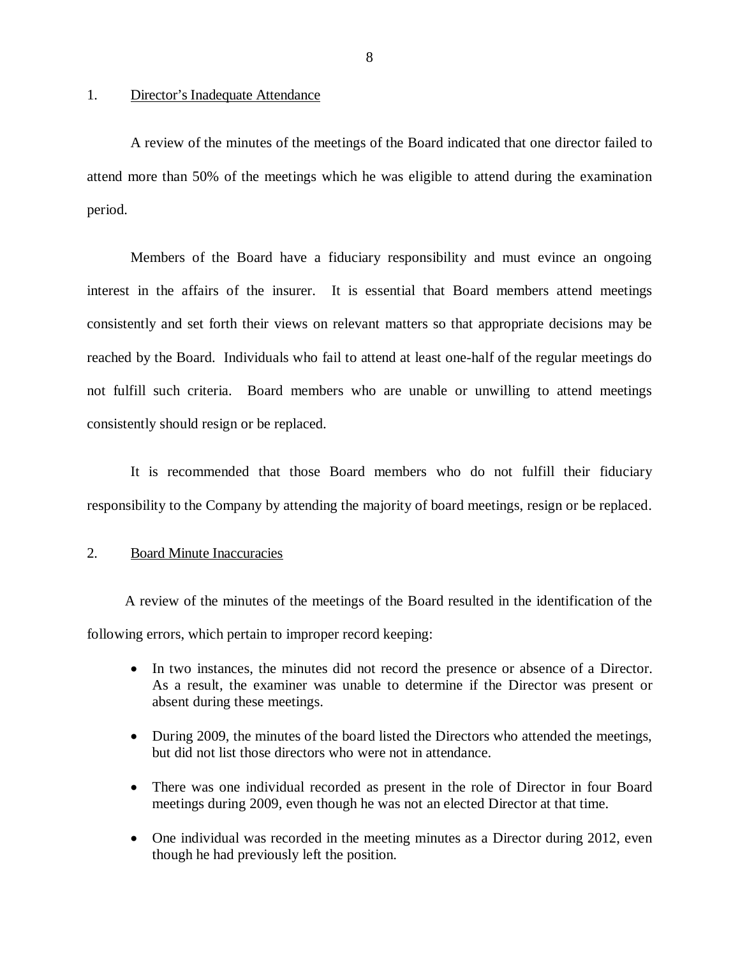#### 1. Director's Inadequate Attendance

 A review of the minutes of the meetings of the Board indicated that one director failed to attend more than 50% of the meetings which he was eligible to attend during the examination period.

 Members of the Board have a fiduciary responsibility and must evince an ongoing interest in the affairs of the insurer. It is essential that Board members attend meetings consistently and set forth their views on relevant matters so that appropriate decisions may be reached by the Board. Individuals who fail to attend at least one-half of the regular meetings do not fulfill such criteria. Board members who are unable or unwilling to attend meetings consistently should resign or be replaced.

 It is recommended that those Board members who do not fulfill their fiduciary responsibility to the Company by attending the majority of board meetings, resign or be replaced.

#### 2. Board Minute Inaccuracies

 A review of the minutes of the meetings of the Board resulted in the identification of the following errors, which pertain to improper record keeping:

- In two instances, the minutes did not record the presence or absence of a Director. As a result, the examiner was unable to determine if the Director was present or absent during these meetings.
- During 2009, the minutes of the board listed the Directors who attended the meetings, but did not list those directors who were not in attendance.
- There was one individual recorded as present in the role of Director in four Board meetings during 2009, even though he was not an elected Director at that time.
- One individual was recorded in the meeting minutes as a Director during 2012, even though he had previously left the position.

8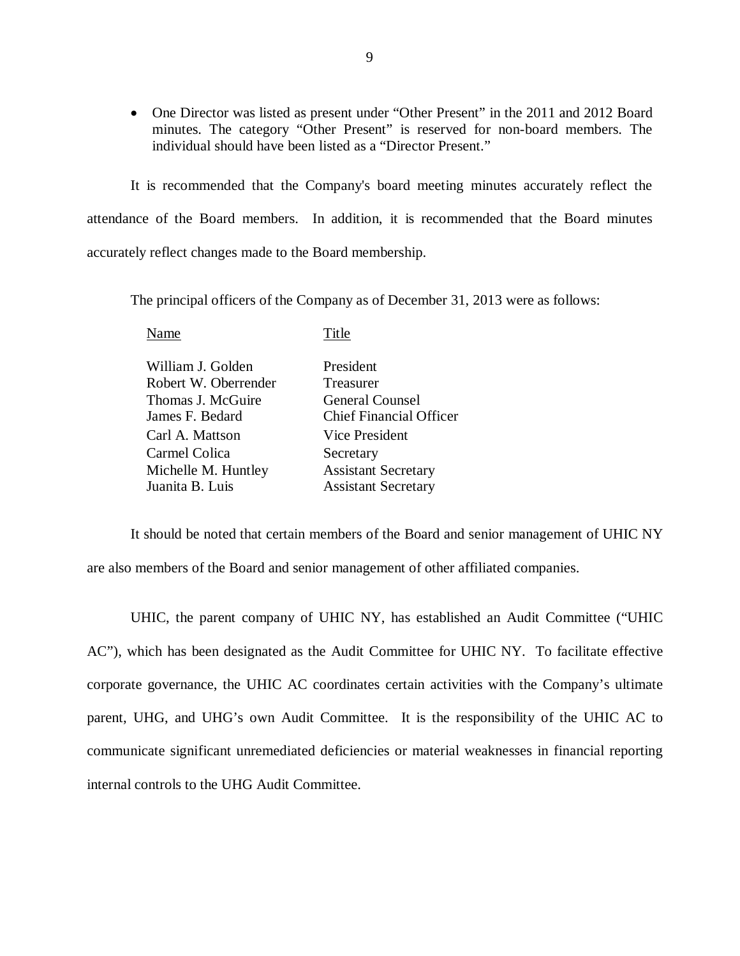• One Director was listed as present under "Other Present" in the 2011 and 2012 Board minutes. The category "Other Present" is reserved for non-board members. The individual should have been listed as a "Director Present."

 It is recommended that the Company's board meeting minutes accurately reflect the attendance of the Board members. In addition, it is recommended that the Board minutes accurately reflect changes made to the Board membership.

The principal officers of the Company as of December 31, 2013 were as follows:

| Name                 | Title                          |
|----------------------|--------------------------------|
| William J. Golden    | President                      |
| Robert W. Oberrender | Treasurer                      |
| Thomas J. McGuire    | <b>General Counsel</b>         |
| James F. Bedard      | <b>Chief Financial Officer</b> |
| Carl A. Mattson      | Vice President                 |
| Carmel Colica        | Secretary                      |
| Michelle M. Huntley  | <b>Assistant Secretary</b>     |
| Juanita B. Luis      | <b>Assistant Secretary</b>     |
|                      |                                |

 are also members of the Board and senior management of other affiliated companies. It should be noted that certain members of the Board and senior management of UHIC NY

 UHIC, the parent company of UHIC NY, has established an Audit Committee ("UHIC AC"), which has been designated as the Audit Committee for UHIC NY. To facilitate effective corporate governance, the UHIC AC coordinates certain activities with the Company's ultimate parent, UHG, and UHG's own Audit Committee. It is the responsibility of the UHIC AC to communicate significant unremediated deficiencies or material weaknesses in financial reporting internal controls to the UHG Audit Committee.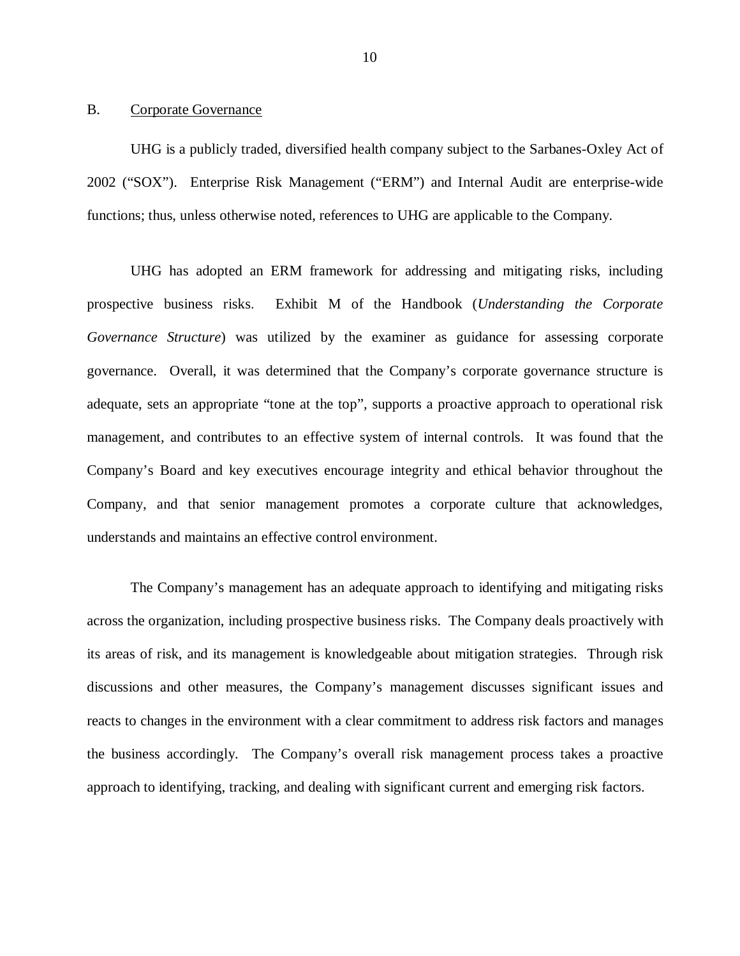#### <span id="page-11-0"></span> $\mathbf{B}$ Corporate Governance

 UHG is a publicly traded, diversified health company subject to the Sarbanes-Oxley Act of 2002 ("SOX"). Enterprise Risk Management ("ERM") and Internal Audit are enterprise-wide functions; thus, unless otherwise noted, references to UHG are applicable to the Company.

 UHG has adopted an ERM framework for addressing and mitigating risks, including prospective business risks. *Governance Structure*) was utilized by the examiner as guidance for assessing corporate governance. Overall, it was determined that the Company's corporate governance structure is adequate, sets an appropriate "tone at the top", supports a proactive approach to operational risk management, and contributes to an effective system of internal controls. It was found that the Company's Board and key executives encourage integrity and ethical behavior throughout the Company, and that senior management promotes a corporate culture that acknowledges, understands and maintains an effective control environment. Exhibit M of the Handbook (*Understanding the Corporate* 

 across the organization, including prospective business risks. The Company deals proactively with its areas of risk, and its management is knowledgeable about mitigation strategies. Through risk discussions and other measures, the Company's management discusses significant issues and reacts to changes in the environment with a clear commitment to address risk factors and manages the business accordingly. The Company's overall risk management process takes a proactive approach to identifying, tracking, and dealing with significant current and emerging risk factors. The Company's management has an adequate approach to identifying and mitigating risks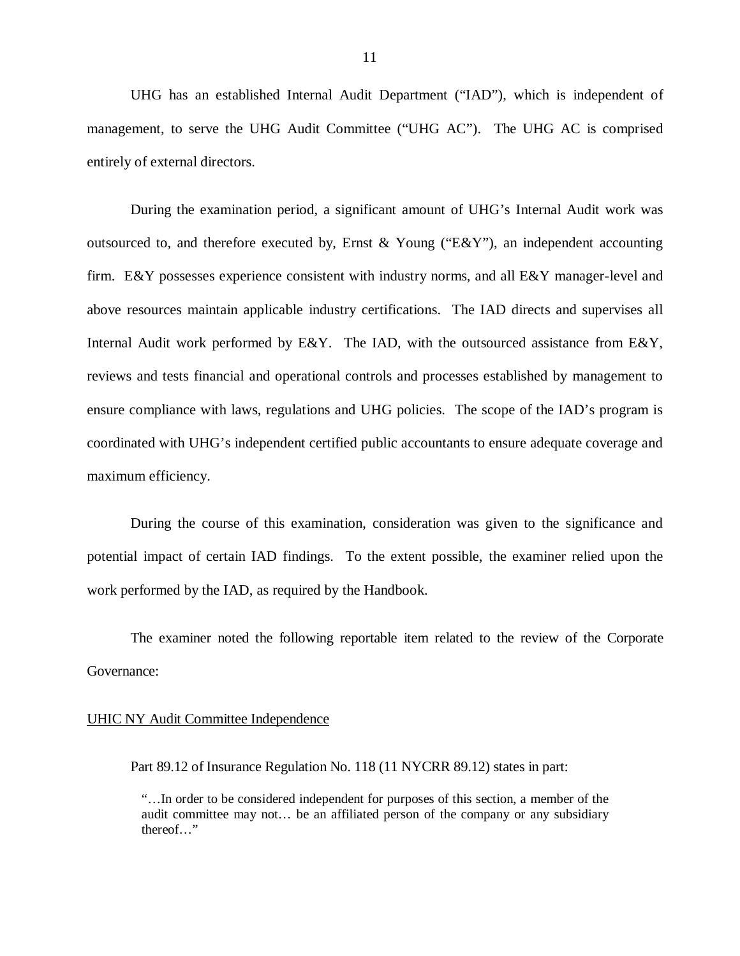UHG has an established Internal Audit Department ("IAD"), which is independent of management, to serve the UHG Audit Committee ("UHG AC"). The UHG AC is comprised entirely of external directors.

 During the examination period, a significant amount of UHG's Internal Audit work was outsourced to, and therefore executed by, Ernst & Young ("E&Y"), an independent accounting firm. E&Y possesses experience consistent with industry norms, and all E&Y manager-level and above resources maintain applicable industry certifications. The IAD directs and supervises all Internal Audit work performed by E&Y. The IAD, with the outsourced assistance from E&Y, reviews and tests financial and operational controls and processes established by management to ensure compliance with laws, regulations and UHG policies. The scope of the IAD's program is coordinated with UHG's independent certified public accountants to ensure adequate coverage and maximum efficiency.

 During the course of this examination, consideration was given to the significance and potential impact of certain IAD findings. To the extent possible, the examiner relied upon the work performed by the IAD, as required by the Handbook.

 The examiner noted the following reportable item related to the review of the Corporate Governance:

#### UHIC NY Audit Committee Independence

Part 89.12 of Insurance Regulation No. 118 (11 NYCRR 89.12) states in part:

 "…In order to be considered independent for purposes of this section, a member of the audit committee may not… be an affiliated person of the company or any subsidiary thereof…"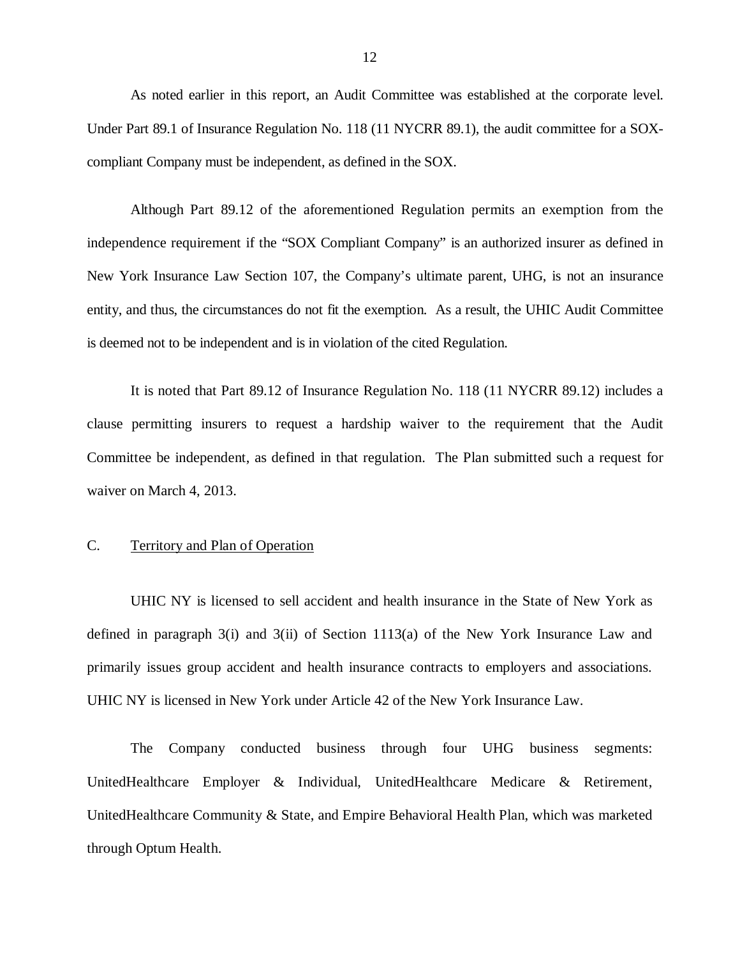<span id="page-13-0"></span> As noted earlier in this report, an Audit Committee was established at the corporate level. Under Part 89.1 of Insurance Regulation No. 118 (11 NYCRR 89.1), the audit committee for a SOX-compliant Company must be independent, as defined in the SOX.

 Although Part 89.12 of the aforementioned Regulation permits an exemption from the independence requirement if the "SOX Compliant Company" is an authorized insurer as defined in New York Insurance Law Section 107, the Company's ultimate parent, UHG, is not an insurance entity, and thus, the circumstances do not fit the exemption. As a result, the UHIC Audit Committee is deemed not to be independent and is in violation of the cited Regulation.

 clause permitting insurers to request a hardship waiver to the requirement that the Audit Committee be independent, as defined in that regulation. The Plan submitted such a request for waiver on March 4, 2013. It is noted that Part 89.12 of Insurance Regulation No. 118 (11 NYCRR 89.12) includes a

#### C. Territory and Plan of Operation

 UHIC NY is licensed to sell accident and health insurance in the State of New York as defined in paragraph 3(i) and 3(ii) of Section 1113(a) of the New York Insurance Law and primarily issues group accident and health insurance contracts to employers and associations. UHIC NY is licensed in New York under Article 42 of the New York Insurance Law.

The UnitedHealthcare Employer & Individual, UnitedHealthcare Medicare & Retirement, UnitedHealthcare Community & State, and Empire Behavioral Health Plan, which was marketed through Optum Health. Company conducted business through four UHG business segments: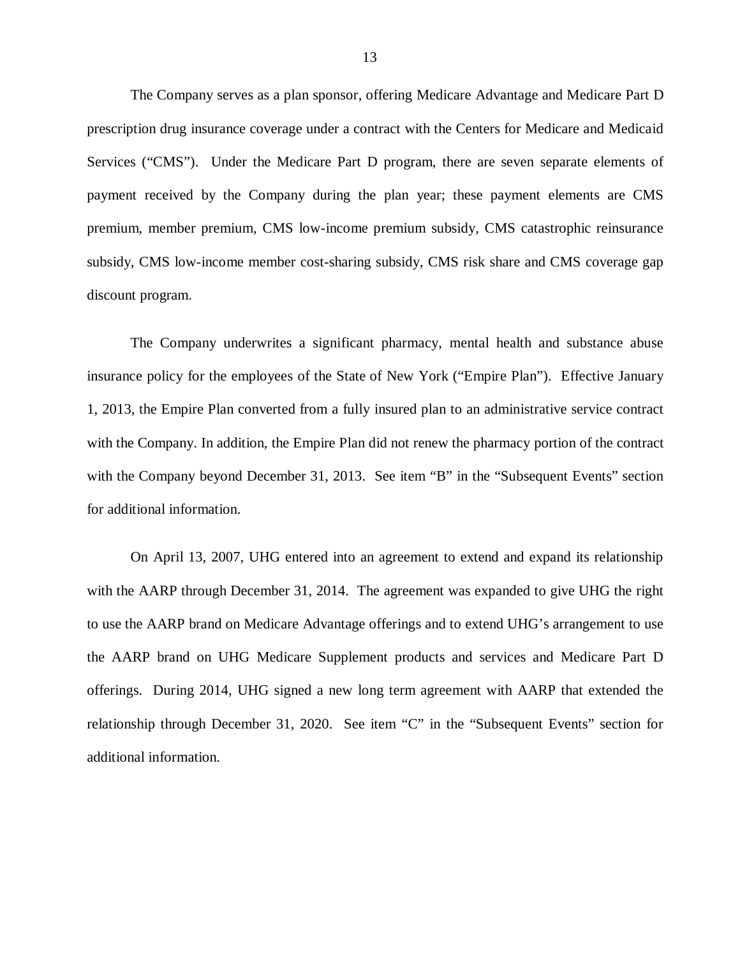The Company serves as a plan sponsor, offering Medicare Advantage and Medicare Part D prescription drug insurance coverage under a contract with the Centers for Medicare and Medicaid Services ("CMS"). Under the Medicare Part D program, there are seven separate elements of payment received by the Company during the plan year; these payment elements are CMS premium, member premium, CMS low-income premium subsidy, CMS catastrophic reinsurance subsidy, CMS low-income member cost-sharing subsidy, CMS risk share and CMS coverage gap discount program.

 The Company underwrites a significant pharmacy, mental health and substance abuse insurance policy for the employees of the State of New York ("Empire Plan"). Effective January 1, 2013, the Empire Plan converted from a fully insured plan to an administrative service contract with the Company. In addition, the Empire Plan did not renew the pharmacy portion of the contract with the Company beyond December 31, 2013. See item "B" in the "Subsequent Events" section for additional information.

 On April 13, 2007, UHG entered into an agreement to extend and expand its relationship with the AARP through December 31, 2014. The agreement was expanded to give UHG the right to use the AARP brand on Medicare Advantage offerings and to extend UHG's arrangement to use the AARP brand on UHG Medicare Supplement products and services and Medicare Part D offerings. During 2014, UHG signed a new long term agreement with AARP that extended the relationship through December 31, 2020. See item "C" in the "Subsequent Events" section for additional information.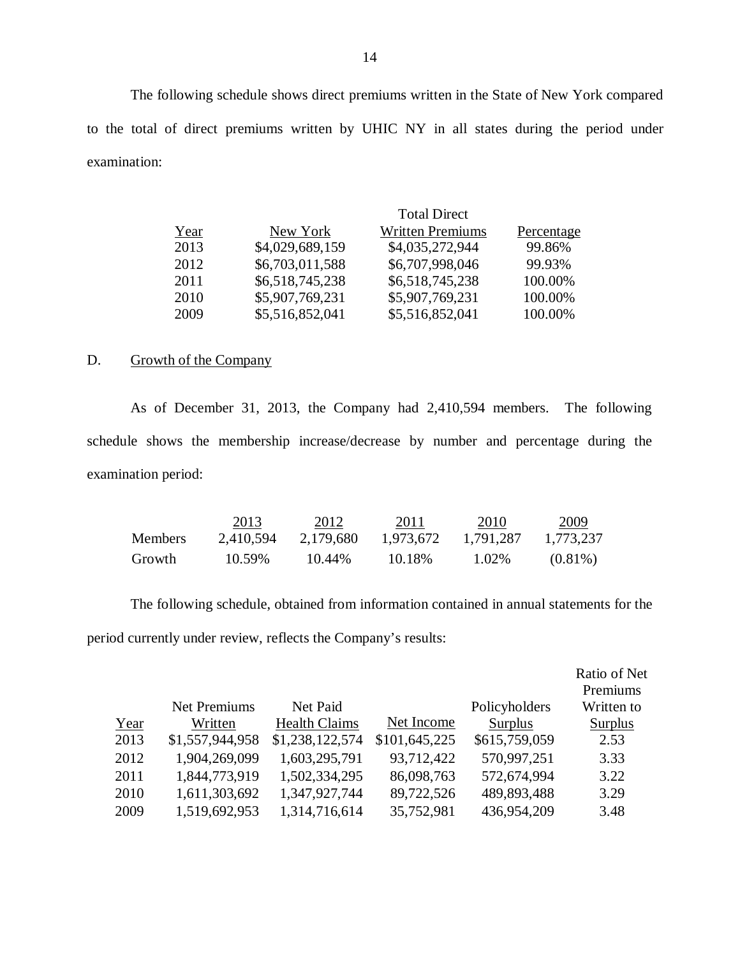The following schedule shows direct premiums written in the State of New York compared to the total of direct premiums written by UHIC NY in all states during the period under examination:

|      |                 | <b>Total Direct</b>     |            |
|------|-----------------|-------------------------|------------|
| Year | New York        | <b>Written Premiums</b> | Percentage |
| 2013 | \$4,029,689,159 | \$4,035,272,944         | 99.86%     |
| 2012 | \$6,703,011,588 | \$6,707,998,046         | 99.93%     |
| 2011 | \$6,518,745,238 | \$6,518,745,238         | 100.00%    |
| 2010 | \$5,907,769,231 | \$5,907,769,231         | 100.00%    |
| 2009 | \$5,516,852,041 | \$5,516,852,041         | 100.00%    |

#### $D<sub>1</sub>$ Growth of the Company

 schedule shows the membership increase/decrease by number and percentage during the examination period: As of December 31, 2013, the Company had 2,410,594 members. The following

|                | 2013      | 2012      | 2011      | 2010      | 2009       |
|----------------|-----------|-----------|-----------|-----------|------------|
| <b>Members</b> | 2,410,594 | 2.179.680 | 1.973.672 | 1.791.287 | 1,773,237  |
| Growth         | 10.59%    | 10.44%    | 10.18%    | 1.02%     | $(0.81\%)$ |

 The following schedule, obtained from information contained in annual statements for the period currently under review, reflects the Company's results:

|      |                 |                      |               |               | Ratio of Net |
|------|-----------------|----------------------|---------------|---------------|--------------|
|      |                 |                      |               |               | Premiums     |
|      | Net Premiums    | Net Paid             |               | Policyholders | Written to   |
| Year | Written         | <b>Health Claims</b> | Net Income    | Surplus       | Surplus      |
| 2013 | \$1,557,944,958 | \$1,238,122,574      | \$101,645,225 | \$615,759,059 | 2.53         |
| 2012 | 1,904,269,099   | 1,603,295,791        | 93,712,422    | 570,997,251   | 3.33         |
| 2011 | 1,844,773,919   | 1,502,334,295        | 86,098,763    | 572,674,994   | 3.22         |
| 2010 | 1,611,303,692   | 1,347,927,744        | 89,722,526    | 489,893,488   | 3.29         |
| 2009 | 1,519,692,953   | 1,314,716,614        | 35,752,981    | 436,954,209   | 3.48         |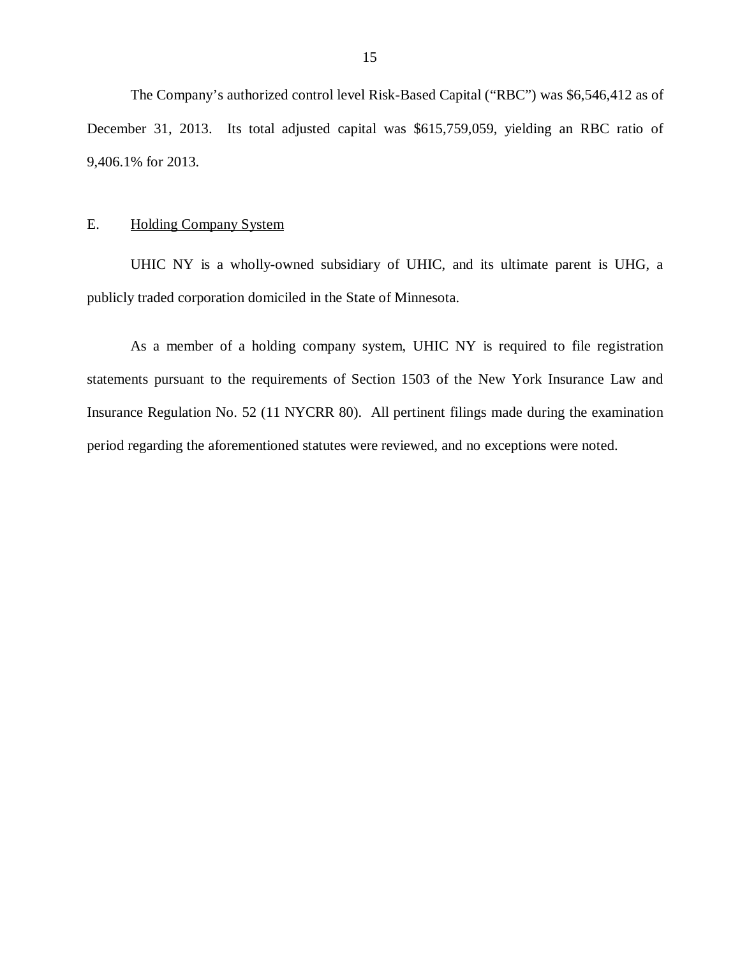<span id="page-16-0"></span> The Company's authorized control level Risk-Based Capital ("RBC") was \$6,546,412 as of December 31, 2013. Its total adjusted capital was \$615,759,059, yielding an RBC ratio of 9,406.1% for 2013.

#### E. Holding Company System

 UHIC NY is a wholly-owned subsidiary of UHIC, and its ultimate parent is UHG, a publicly traded corporation domiciled in the State of Minnesota.

 statements pursuant to the requirements of Section 1503 of the New York Insurance Law and Insurance Regulation No. 52 (11 NYCRR 80). All pertinent filings made during the examination period regarding the aforementioned statutes were reviewed, and no exceptions were noted. As a member of a holding company system, UHIC NY is required to file registration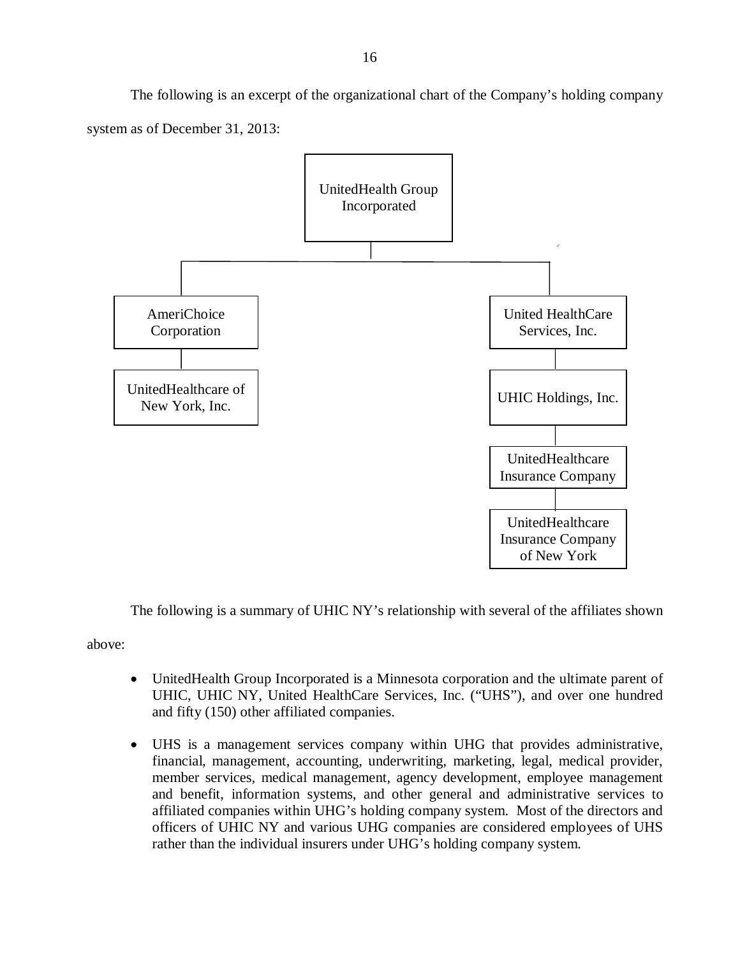system as of December 31, 2013: The following is an excerpt of the organizational chart of the Company's holding company



The following is a summary of UHIC NY's relationship with several of the affiliates shown

above:

- UnitedHealth Group Incorporated is a Minnesota corporation and the ultimate parent of UHIC, UHIC NY, United HealthCare Services, Inc. ("UHS"), and over one hundred and fifty (150) other affiliated companies.
- UHS is a management services company within UHG that provides administrative, financial, management, accounting, underwriting, marketing, legal, medical provider, member services, medical management, agency development, employee management and benefit, information systems, and other general and administrative services to affiliated companies within UHG's holding company system. Most of the directors and officers of UHIC NY and various UHG companies are considered employees of UHS rather than the individual insurers under UHG's holding company system.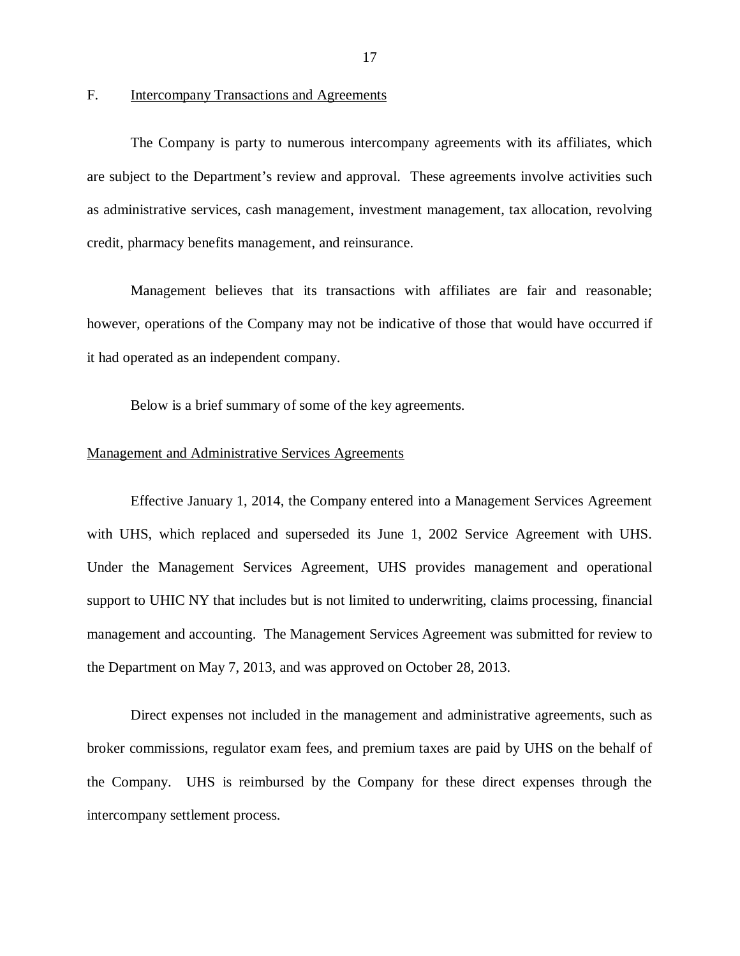#### **Intercompany Transactions and Agreements**

<span id="page-18-0"></span> are subject to the Department's review and approval. These agreements involve activities such as administrative services, cash management, investment management, tax allocation, revolving credit, pharmacy benefits management, and reinsurance. F. Intercompany Transactions and Agreements<br>The Company is party to numerous intercompany agreements with its affiliates, which

 Management believes that its transactions with affiliates are fair and reasonable; however, operations of the Company may not be indicative of those that would have occurred if it had operated as an independent company.

Below is a brief summary of some of the key agreements.

#### Management and Administrative Services Agreements

 Effective January 1, 2014, the Company entered into a Management Services Agreement with UHS, which replaced and superseded its June 1, 2002 Service Agreement with UHS. Under the Management Services Agreement, UHS provides management and operational support to UHIC NY that includes but is not limited to underwriting, claims processing, financial management and accounting. The Management Services Agreement was submitted for review to the Department on May 7, 2013, and was approved on October 28, 2013.

 Direct expenses not included in the management and administrative agreements, such as broker commissions, regulator exam fees, and premium taxes are paid by UHS on the behalf of the Company. UHS is reimbursed by the Company for these direct expenses through the intercompany settlement process.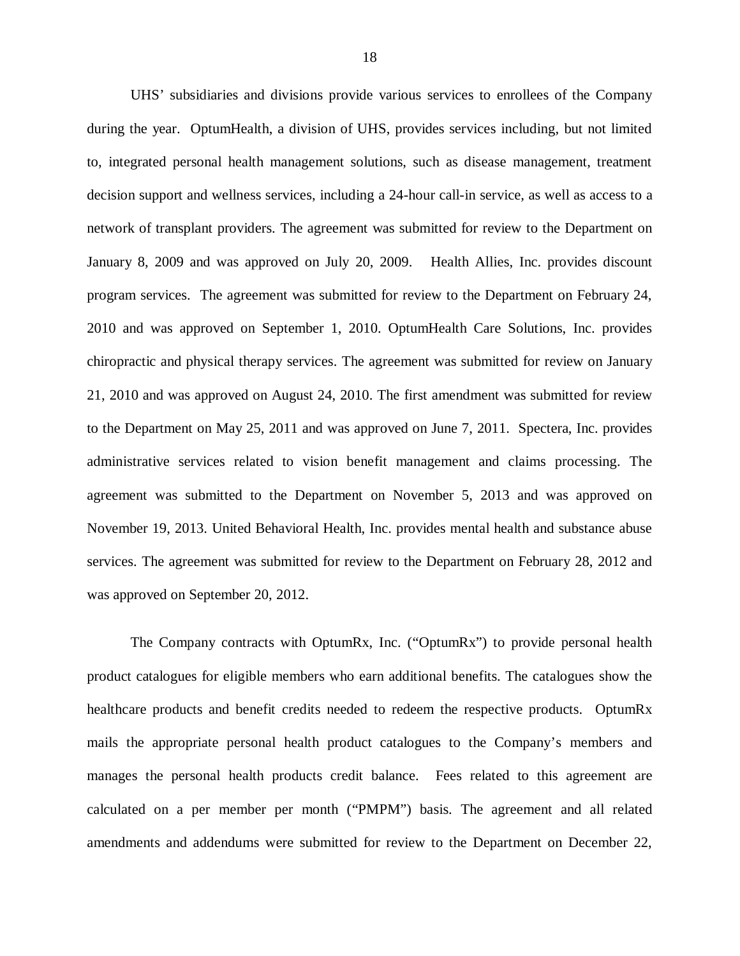UHS' subsidiaries and divisions provide various services to enrollees of the Company during the year. OptumHealth, a division of UHS, provides services including, but not limited to, integrated personal health management solutions, such as disease management, treatment decision support and wellness services, including a 24-hour call-in service, as well as access to a network of transplant providers. The agreement was submitted for review to the Department on January 8, 2009 and was approved on July 20, 2009. Health Allies, Inc. provides discount program services. The agreement was submitted for review to the Department on February 24, 2010 and was approved on September 1, 2010. OptumHealth Care Solutions, Inc. provides chiropractic and physical therapy services. The agreement was submitted for review on January 21, 2010 and was approved on August 24, 2010. The first amendment was submitted for review to the Department on May 25, 2011 and was approved on June 7, 2011. Spectera, Inc. provides administrative services related to vision benefit management and claims processing. The agreement was submitted to the Department on November 5, 2013 and was approved on November 19, 2013. United Behavioral Health, Inc. provides mental health and substance abuse services. The agreement was submitted for review to the Department on February 28, 2012 and was approved on September 20, 2012.

 product catalogues for eligible members who earn additional benefits. The catalogues show the healthcare products and benefit credits needed to redeem the respective products. OptumRx mails the appropriate personal health product catalogues to the Company's members and manages the personal health products credit balance. Fees related to this agreement are calculated on a per member per month ("PMPM") basis. The agreement and all related amendments and addendums were submitted for review to the Department on December 22, The Company contracts with OptumRx, Inc. ("OptumRx") to provide personal health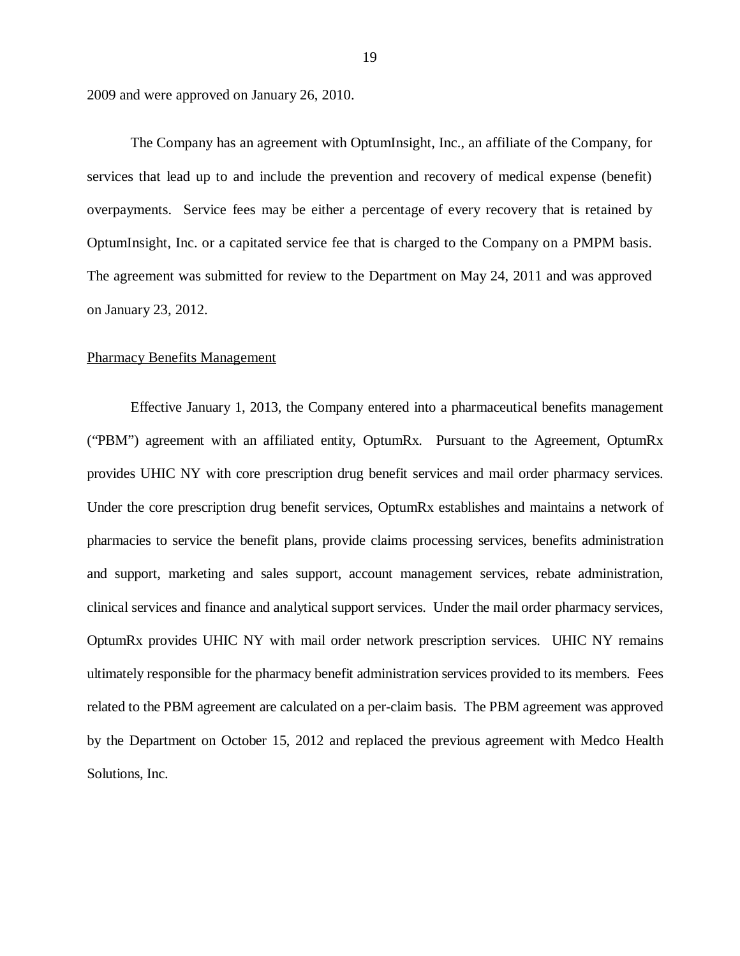2009 and were approved on January 26, 2010.

 services that lead up to and include the prevention and recovery of medical expense (benefit) overpayments. Service fees may be either a percentage of every recovery that is retained by OptumInsight, Inc. or a capitated service fee that is charged to the Company on a PMPM basis. The agreement was submitted for review to the Department on May 24, 2011 and was approved on January 23, 2012. The Company has an agreement with OptumInsight, Inc., an affiliate of the Company, for

#### Pharmacy Benefits Management

 Effective January 1, 2013, the Company entered into a pharmaceutical benefits management ("PBM") agreement with an affiliated entity, OptumRx. Pursuant to the Agreement, OptumRx provides UHIC NY with core prescription drug benefit services and mail order pharmacy services. Under the core prescription drug benefit services, OptumRx establishes and maintains a network of pharmacies to service the benefit plans, provide claims processing services, benefits administration and support, marketing and sales support, account management services, rebate administration, clinical services and finance and analytical support services. Under the mail order pharmacy services, OptumRx provides UHIC NY with mail order network prescription services. UHIC NY remains ultimately responsible for the pharmacy benefit administration services provided to its members. Fees related to the PBM agreement are calculated on a per-claim basis. The PBM agreement was approved by the Department on October 15, 2012 and replaced the previous agreement with Medco Health Solutions, Inc.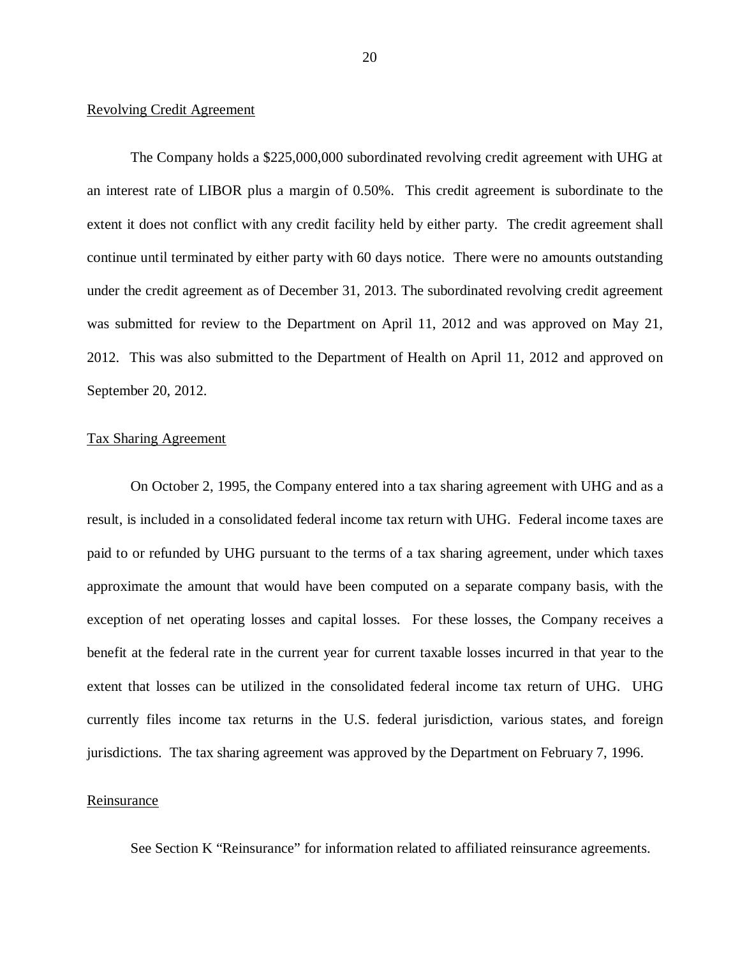#### Revolving Credit Agreement

 The Company holds a \$225,000,000 subordinated revolving credit agreement with UHG at an interest rate of LIBOR plus a margin of 0.50%. This credit agreement is subordinate to the extent it does not conflict with any credit facility held by either party. The credit agreement shall continue until terminated by either party with 60 days notice. There were no amounts outstanding under the credit agreement as of December 31, 2013. The subordinated revolving credit agreement was submitted for review to the Department on April 11, 2012 and was approved on May 21, 2012. This was also submitted to the Department of Health on April 11, 2012 and approved on September 20, 2012.

#### **Tax Sharing Agreement**

Tax Sharing Agreement<br>On October 2, 1995, the Company entered into a tax sharing agreement with UHG and as a result, is included in a consolidated federal income tax return with UHG. Federal income taxes are paid to or refunded by UHG pursuant to the terms of a tax sharing agreement, under which taxes approximate the amount that would have been computed on a separate company basis, with the exception of net operating losses and capital losses. For these losses, the Company receives a benefit at the federal rate in the current year for current taxable losses incurred in that year to the extent that losses can be utilized in the consolidated federal income tax return of UHG. UHG currently files income tax returns in the U.S. federal jurisdiction, various states, and foreign jurisdictions. The tax sharing agreement was approved by the Department on February 7, 1996.

#### Reinsurance

See Section K "Reinsurance" for information related to affiliated reinsurance agreements.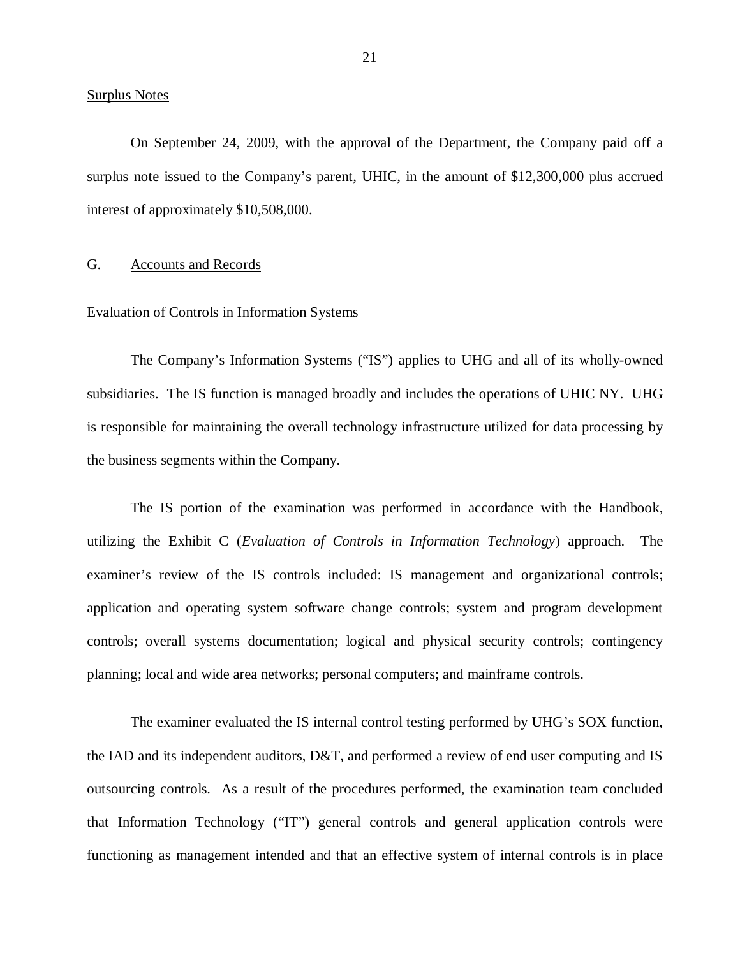#### <span id="page-22-0"></span>**Surplus Notes**

 On September 24, 2009, with the approval of the Department, the Company paid off a surplus note issued to the Company's parent, UHIC, in the amount of \$12,300,000 plus accrued interest of approximately \$10,508,000.

#### G. Accounts and Records

#### Evaluation of Controls in Information Systems

 The Company's Information Systems ("IS") applies to UHG and all of its wholly-owned subsidiaries. The IS function is managed broadly and includes the operations of UHIC NY. UHG is responsible for maintaining the overall technology infrastructure utilized for data processing by the business segments within the Company.

 The IS portion of the examination was performed in accordance with the Handbook, utilizing the Exhibit C (*Evaluation of Controls in Information Technology*) approach. The examiner's review of the IS controls included: IS management and organizational controls; application and operating system software change controls; system and program development controls; overall systems documentation; logical and physical security controls; contingency planning; local and wide area networks; personal computers; and mainframe controls.

 The examiner evaluated the IS internal control testing performed by UHG's SOX function, the IAD and its independent auditors, D&T, and performed a review of end user computing and IS outsourcing controls. As a result of the procedures performed, the examination team concluded that Information Technology ("IT") general controls and general application controls were functioning as management intended and that an effective system of internal controls is in place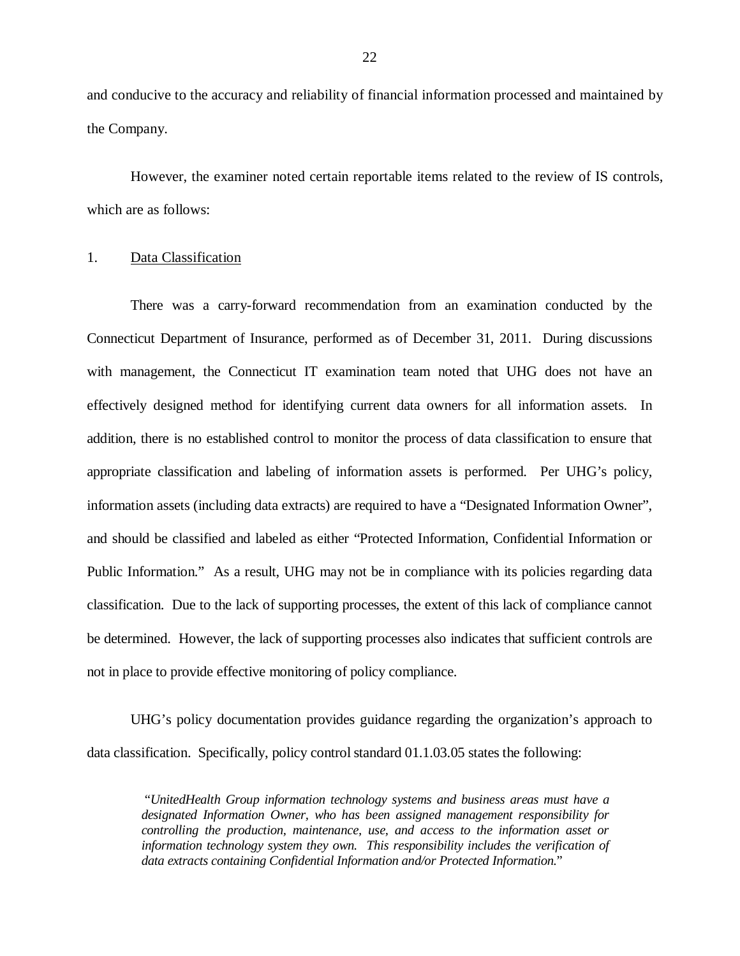and conducive to the accuracy and reliability of financial information processed and maintained by the Company.

 However, the examiner noted certain reportable items related to the review of IS controls, which are as follows:

#### 1. Data Classification

 There was a carry-forward recommendation from an examination conducted by the Connecticut Department of Insurance, performed as of December 31, 2011. During discussions with management, the Connecticut IT examination team noted that UHG does not have an effectively designed method for identifying current data owners for all information assets. In addition, there is no established control to monitor the process of data classification to ensure that appropriate classification and labeling of information assets is performed. Per UHG's policy, information assets (including data extracts) are required to have a "Designated Information Owner", and should be classified and labeled as either "Protected Information, Confidential Information or Public Information." As a result, UHG may not be in compliance with its policies regarding data classification. Due to the lack of supporting processes, the extent of this lack of compliance cannot be determined. However, the lack of supporting processes also indicates that sufficient controls are not in place to provide effective monitoring of policy compliance.

 UHG's policy documentation provides guidance regarding the organization's approach to data classification. Specifically, policy control standard [01.1.03.05](https://01.1.03.05) states the following:

 "*UnitedHealth Group information technology systems and business areas must have a designated Information Owner, who has been assigned management responsibility for controlling the production, maintenance, use, and access to the information asset or information technology system they own. This responsibility includes the verification of data extracts containing Confidential Information and/or Protected Information.*"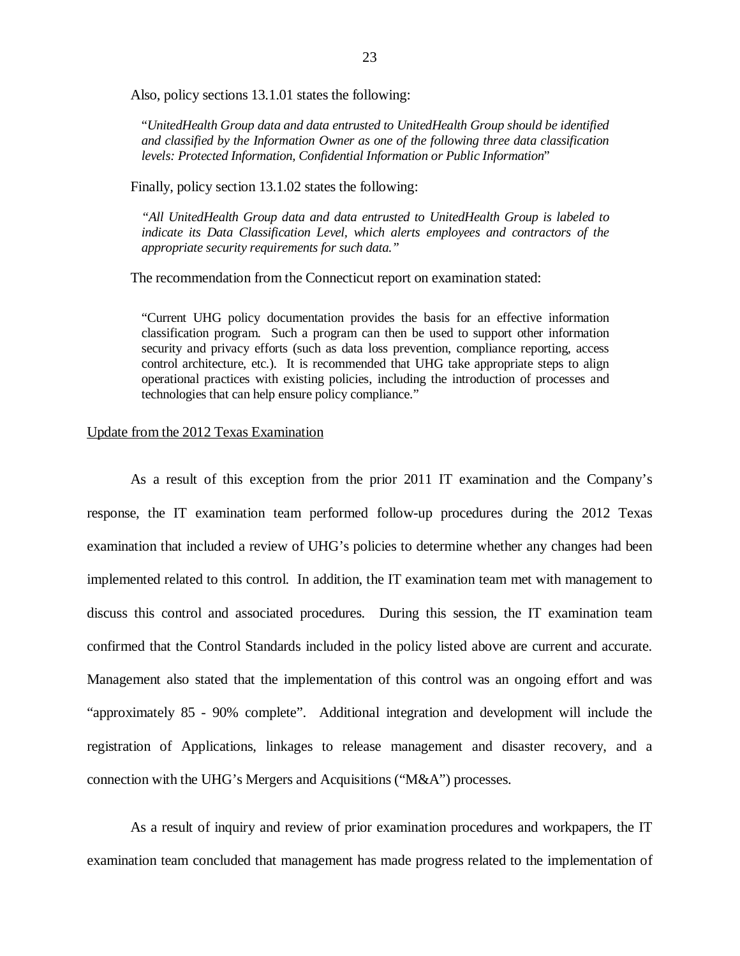Also, policy sections 13.1.01 states the following:

 "*UnitedHealth Group data and data entrusted to UnitedHealth Group should be identified and classified by the Information Owner as one of the following three data classification levels: Protected Information, Confidential Information or Public Information*"

Finally, policy section 13.1.02 states the following:

 *"All UnitedHealth Group data and data entrusted to UnitedHealth Group is labeled to indicate its Data Classification Level, which alerts employees and contractors of the appropriate security requirements for such data."* 

The recommendation from the Connecticut report on examination stated:

 "Current UHG policy documentation provides the basis for an effective information classification program. Such a program can then be used to support other information security and privacy efforts (such as data loss prevention, compliance reporting, access control architecture, etc.). It is recommended that UHG take appropriate steps to align operational practices with existing policies, including the introduction of processes and technologies that can help ensure policy compliance."

#### Update from the 2012 Texas Examination

 response, the IT examination team performed follow-up procedures during the 2012 Texas examination that included a review of UHG's policies to determine whether any changes had been implemented related to this control. In addition, the IT examination team met with management to discuss this control and associated procedures. During this session, the IT examination team confirmed that the Control Standards included in the policy listed above are current and accurate. Management also stated that the implementation of this control was an ongoing effort and was "approximately 85 - 90% complete". Additional integration and development will include the registration of Applications, linkages to release management and disaster recovery, and a connection with the UHG's Mergers and Acquisitions ("M&A") processes. As a result of this exception from the prior 2011 IT examination and the Company's

 examination team concluded that management has made progress related to the implementation of As a result of inquiry and review of prior examination procedures and workpapers, the IT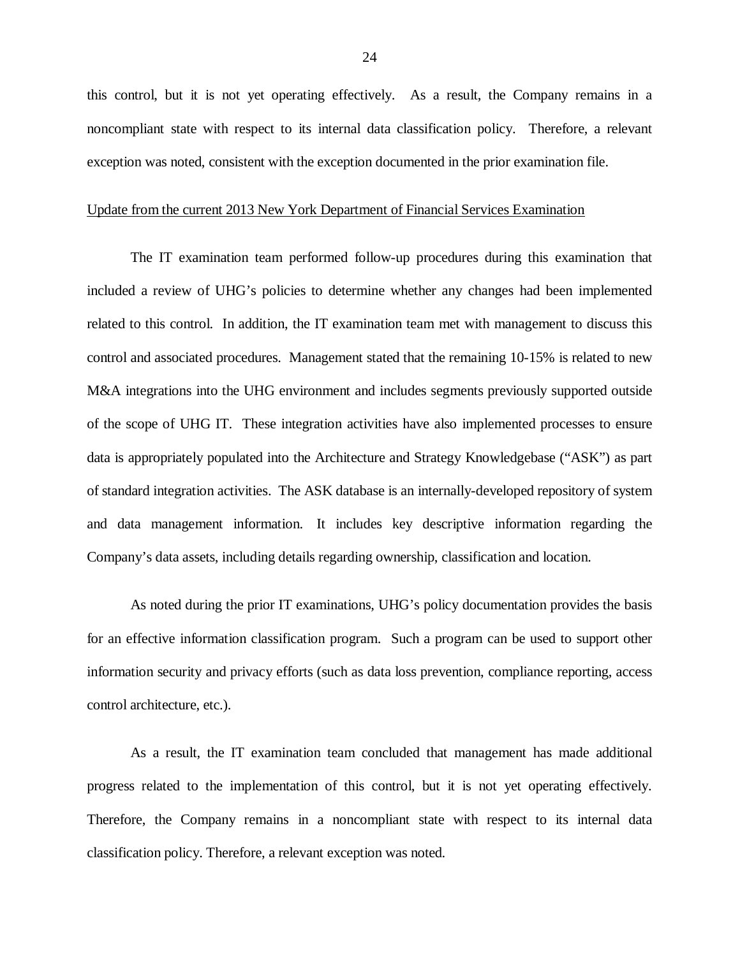this control, but it is not yet operating effectively. As a result, the Company remains in a noncompliant state with respect to its internal data classification policy. Therefore, a relevant exception was noted, consistent with the exception documented in the prior examination file.

#### Update from the current 2013 New York Department of Financial Services Examination

 included a review of UHG's policies to determine whether any changes had been implemented related to this control. In addition, the IT examination team met with management to discuss this control and associated procedures. Management stated that the remaining 10-15% is related to new M&A integrations into the UHG environment and includes segments previously supported outside of the scope of UHG IT. These integration activities have also implemented processes to ensure data is appropriately populated into the Architecture and Strategy Knowledgebase ("ASK") as part of standard integration activities. The ASK database is an internally-developed repository of system and data management information. It includes key descriptive information regarding the Company's data assets, including details regarding ownership, classification and location. The IT examination team performed follow-up procedures during this examination that

 for an effective information classification program. Such a program can be used to support other information security and privacy efforts (such as data loss prevention, compliance reporting, access control architecture, etc.). As noted during the prior IT examinations, UHG's policy documentation provides the basis

 progress related to the implementation of this control, but it is not yet operating effectively. Therefore, the Company remains in a noncompliant state with respect to its internal data classification policy. Therefore, a relevant exception was noted. As a result, the IT examination team concluded that management has made additional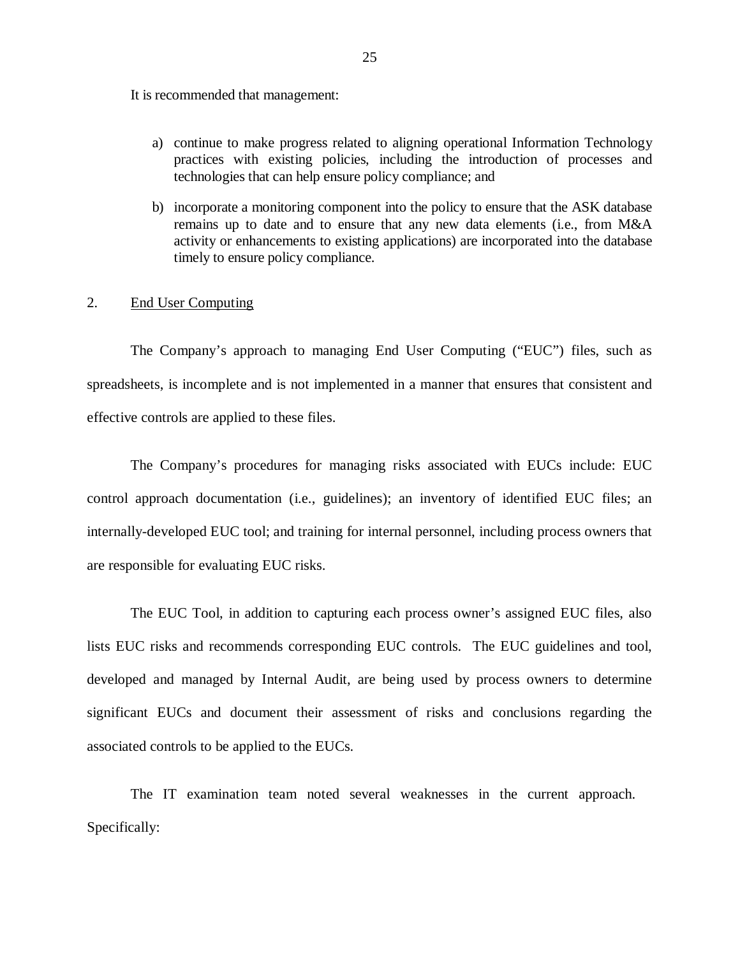It is recommended that management:

- a) continue to make progress related to aligning operational Information Technology practices with existing policies, including the introduction of processes and technologies that can help ensure policy compliance; and
- b) incorporate a monitoring component into the policy to ensure that the ASK database remains up to date and to ensure that any new data elements (i.e., from M&A activity or enhancements to existing applications) are incorporated into the database timely to ensure policy compliance.

#### 2. End User Computing

 The Company's approach to managing End User Computing ("EUC") files, such as spreadsheets, is incomplete and is not implemented in a manner that ensures that consistent and effective controls are applied to these files.

 The Company's procedures for managing risks associated with EUCs include: EUC control approach documentation (i.e., guidelines); an inventory of identified EUC files; an internally-developed EUC tool; and training for internal personnel, including process owners that are responsible for evaluating EUC risks.

 The EUC Tool, in addition to capturing each process owner's assigned EUC files, also lists EUC risks and recommends corresponding EUC controls. The EUC guidelines and tool, developed and managed by Internal Audit, are being used by process owners to determine significant EUCs and document their assessment of risks and conclusions regarding the associated controls to be applied to the EUCs.

 The IT examination team noted several weaknesses in the current approach. Specifically: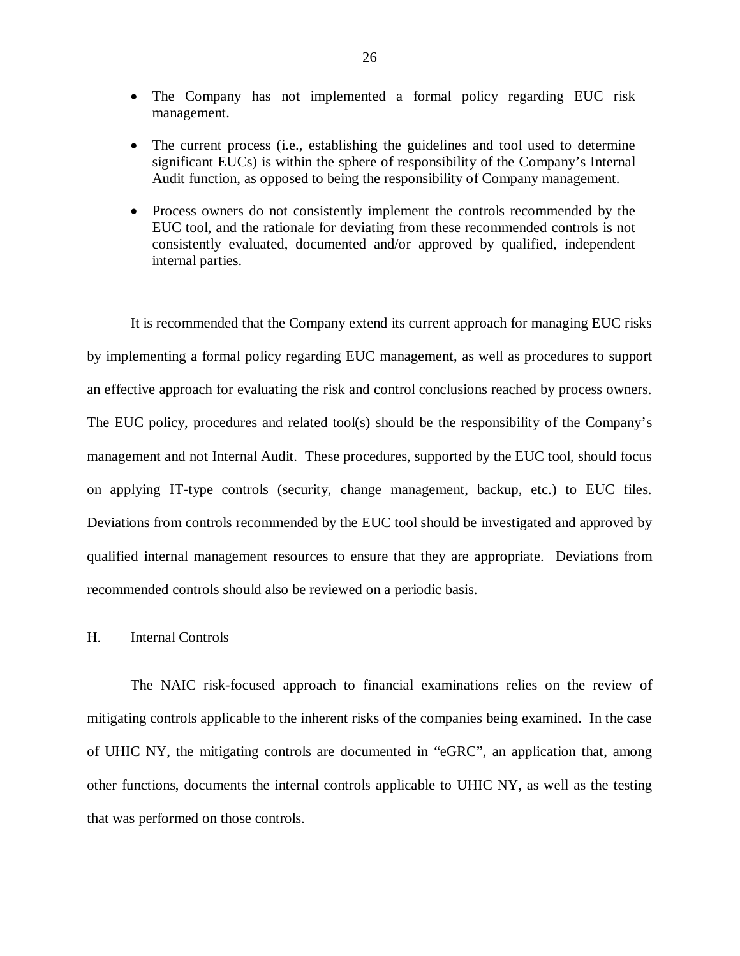- <span id="page-27-0"></span> The Company has not implemented a formal policy regarding EUC risk management.
- The current process (i.e., establishing the guidelines and tool used to determine significant EUCs) is within the sphere of responsibility of the Company's Internal Audit function, as opposed to being the responsibility of Company management.
- Process owners do not consistently implement the controls recommended by the EUC tool, and the rationale for deviating from these recommended controls is not consistently evaluated, documented and/or approved by qualified, independent internal parties.

 It is recommended that the Company extend its current approach for managing EUC risks by implementing a formal policy regarding EUC management, as well as procedures to support an effective approach for evaluating the risk and control conclusions reached by process owners. The EUC policy, procedures and related tool(s) should be the responsibility of the Company's management and not Internal Audit. These procedures, supported by the EUC tool, should focus on applying IT-type controls (security, change management, backup, etc.) to EUC files. Deviations from controls recommended by the EUC tool should be investigated and approved by qualified internal management resources to ensure that they are appropriate. Deviations from recommended controls should also be reviewed on a periodic basis.

#### H. **Internal Controls**

 The NAIC risk-focused approach to financial examinations relies on the review of mitigating controls applicable to the inherent risks of the companies being examined. In the case of UHIC NY, the mitigating controls are documented in "eGRC", an application that, among other functions, documents the internal controls applicable to UHIC NY, as well as the testing that was performed on those controls.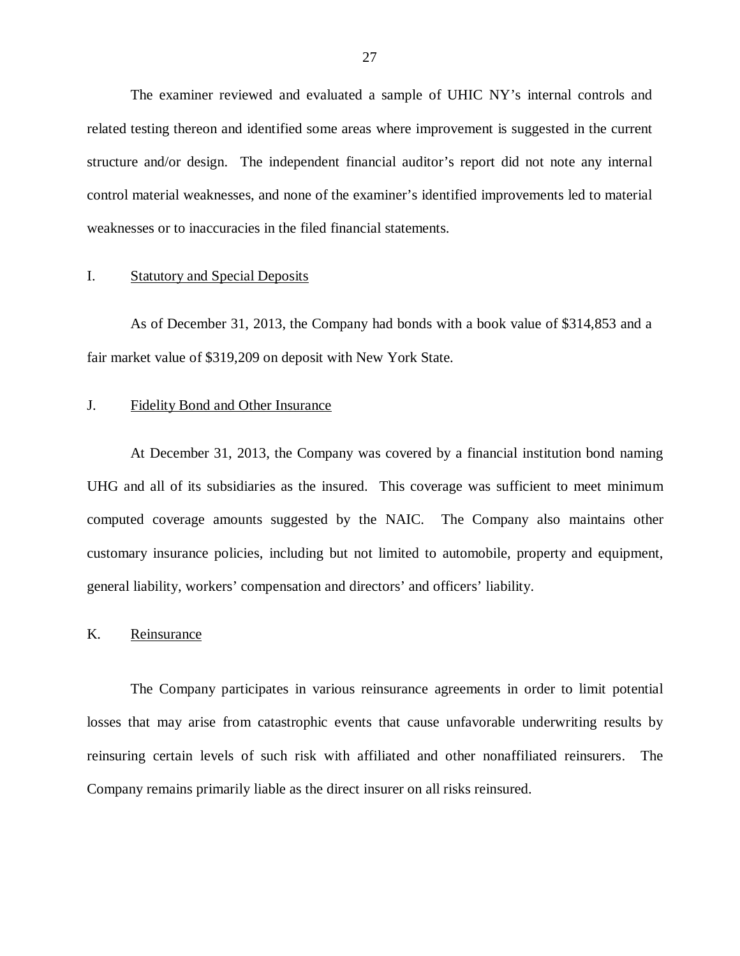<span id="page-28-0"></span> The examiner reviewed and evaluated a sample of UHIC NY's internal controls and related testing thereon and identified some areas where improvement is suggested in the current structure and/or design. The independent financial auditor's report did not note any internal control material weaknesses, and none of the examiner's identified improvements led to material weaknesses or to inaccuracies in the filed financial statements.

#### I. Statutory and Special Deposits

 As of December 31, 2013, the Company had bonds with a book value of \$314,853 and a fair market value of \$319,209 on deposit with New York State.

#### J. Fidelity Bond and Other Insurance

 At December 31, 2013, the Company was covered by a financial institution bond naming UHG and all of its subsidiaries as the insured. This coverage was sufficient to meet minimum computed coverage amounts suggested by the NAIC. The Company also maintains other customary insurance policies, including but not limited to automobile, property and equipment, general liability, workers' compensation and directors' and officers' liability.

#### Reinsurance

K. Reinsurance<br>The Company participates in various reinsurance agreements in order to limit potential losses that may arise from catastrophic events that cause unfavorable underwriting results by reinsuring certain levels of such risk with affiliated and other nonaffiliated reinsurers. The Company remains primarily liable as the direct insurer on all risks reinsured.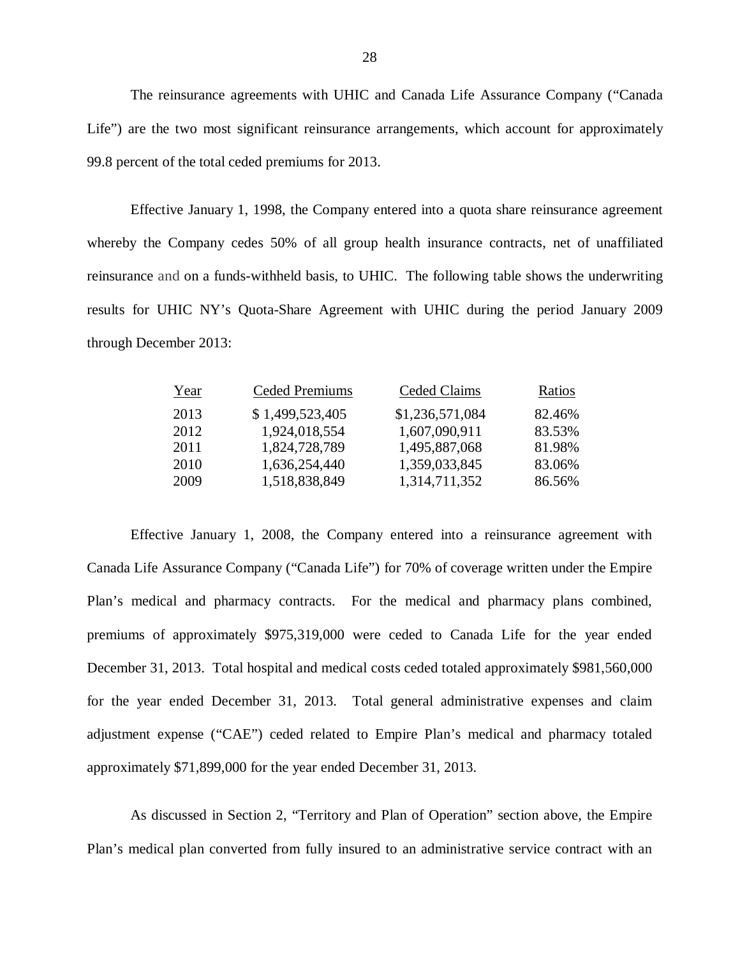The reinsurance agreements with UHIC and Canada Life Assurance Company ("Canada Life") are the two most significant reinsurance arrangements, which account for approximately 99.8 percent of the total ceded premiums for 2013.

 Effective January 1, 1998, the Company entered into a quota share reinsurance agreement whereby the Company cedes 50% of all group health insurance contracts, net of unaffiliated reinsurance and on a funds-withheld basis, to UHIC. The following table shows the underwriting results for UHIC NY's Quota-Share Agreement with UHIC during the period January 2009 through December 2013:

| Year | <b>Ceded Premiums</b> | Ceded Claims    | Ratios |
|------|-----------------------|-----------------|--------|
| 2013 | \$1,499,523,405       | \$1,236,571,084 | 82.46% |
| 2012 | 1,924,018,554         | 1,607,090,911   | 83.53% |
| 2011 | 1,824,728,789         | 1,495,887,068   | 81.98% |
| 2010 | 1,636,254,440         | 1,359,033,845   | 83.06% |
| 2009 | 1,518,838,849         | 1,314,711,352   | 86.56% |
|      |                       |                 |        |

 Effective January 1, 2008, the Company entered into a reinsurance agreement with Canada Life Assurance Company ("Canada Life") for 70% of coverage written under the Empire Plan's medical and pharmacy contracts. For the medical and pharmacy plans combined, premiums of approximately \$975,319,000 were ceded to Canada Life for the year ended December 31, 2013. Total hospital and medical costs ceded totaled approximately \$981,560,000 for the year ended December 31, 2013. Total general administrative expenses and claim adjustment expense ("CAE") ceded related to Empire Plan's medical and pharmacy totaled approximately \$71,899,000 for the year ended December 31, 2013.

 As discussed in Section 2, "Territory and Plan of Operation" section above, the Empire Plan's medical plan converted from fully insured to an administrative service contract with an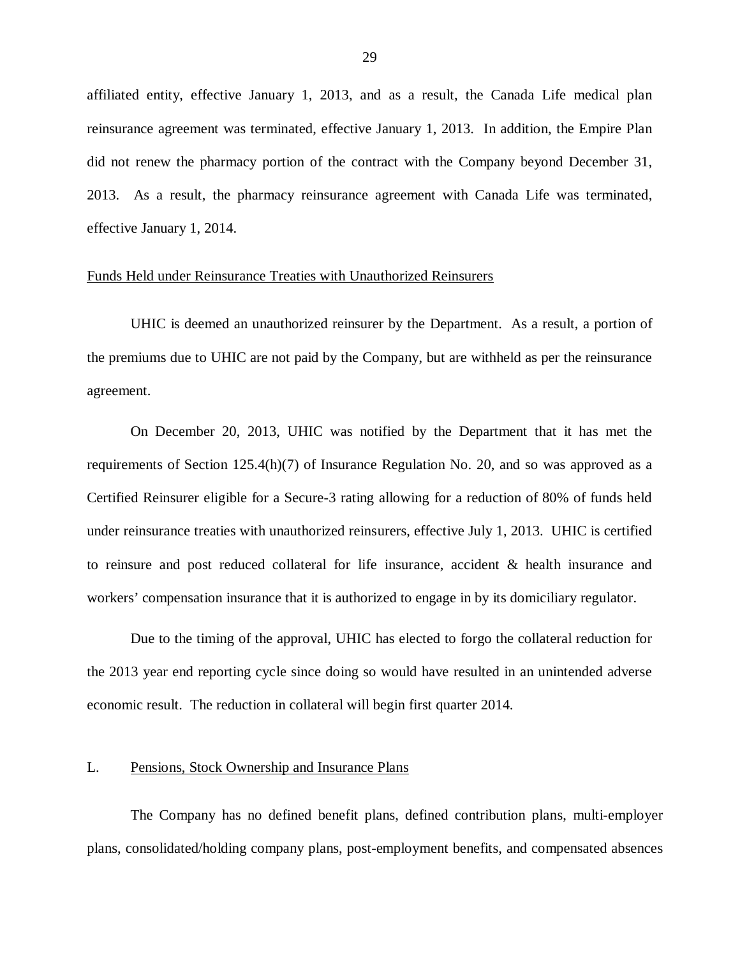<span id="page-30-0"></span> affiliated entity, effective January 1, 2013, and as a result, the Canada Life medical plan reinsurance agreement was terminated, effective January 1, 2013. In addition, the Empire Plan did not renew the pharmacy portion of the contract with the Company beyond December 31, 2013. As a result, the pharmacy reinsurance agreement with Canada Life was terminated, effective January 1, 2014.

#### Funds Held under Reinsurance Treaties with Unauthorized Reinsurers

 UHIC is deemed an unauthorized reinsurer by the Department. As a result, a portion of the premiums due to UHIC are not paid by the Company, but are withheld as per the reinsurance agreement.

 On December 20, 2013, UHIC was notified by the Department that it has met the requirements of Section 125.4(h)(7) of Insurance Regulation No. 20, and so was approved as a Certified Reinsurer eligible for a Secure-3 rating allowing for a reduction of 80% of funds held under reinsurance treaties with unauthorized reinsurers, effective July 1, 2013. UHIC is certified to reinsure and post reduced collateral for life insurance, accident & health insurance and workers' compensation insurance that it is authorized to engage in by its domiciliary regulator.

 Due to the timing of the approval, UHIC has elected to forgo the collateral reduction for the 2013 year end reporting cycle since doing so would have resulted in an unintended adverse economic result. The reduction in collateral will begin first quarter 2014.

#### L. Pensions, Stock Ownership and Insurance Plans

 The Company has no defined benefit plans, defined contribution plans, multi-employer plans, consolidated/holding company plans, post-employment benefits, and compensated absences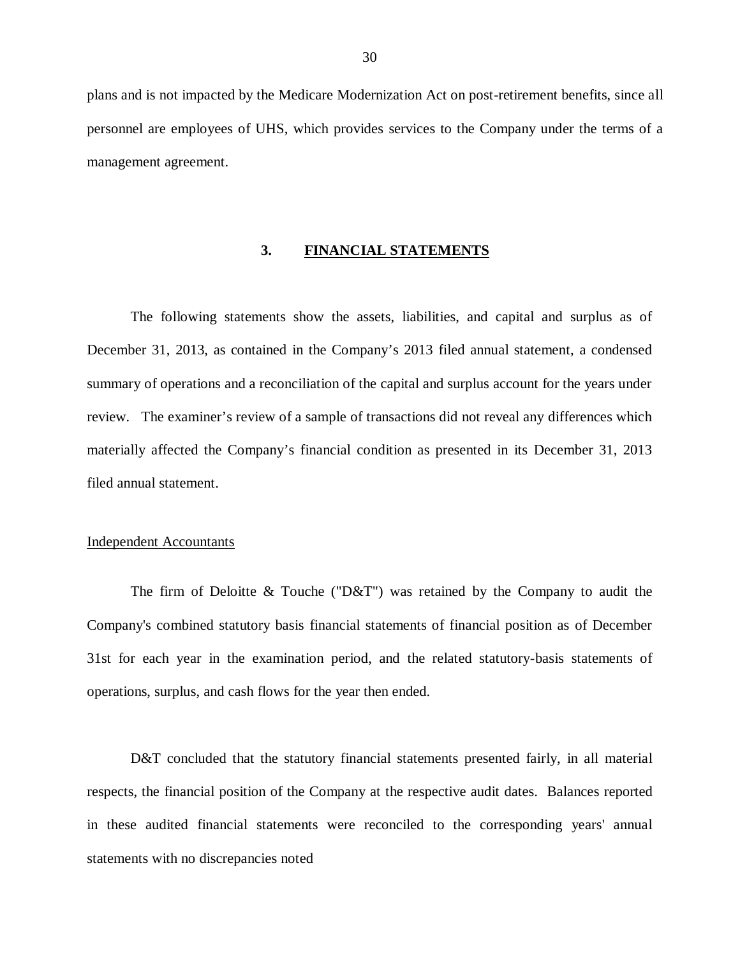<span id="page-31-0"></span> plans and is not impacted by the Medicare Modernization Act on post-retirement benefits, since all personnel are employees of UHS, which provides services to the Company under the terms of a management agreement.

#### **3. FINANCIAL STATEMENTS**

 The following statements show the assets, liabilities, and capital and surplus as of December 31, 2013, as contained in the Company's 2013 filed annual statement, a condensed summary of operations and a reconciliation of the capital and surplus account for the years under review. The examiner's review of a sample of transactions did not reveal any differences which materially affected the Company's financial condition as presented in its December 31, 2013 filed annual statement.

#### Independent Accountants

 Company's combined statutory basis financial statements of financial position as of December 31st for each year in the examination period, and the related statutory-basis statements of operations, surplus, and cash flows for the year then ended. The firm of Deloitte  $&$  Touche ("D $&$ T") was retained by the Company to audit the

 respects, the financial position of the Company at the respective audit dates. Balances reported in these audited financial statements were reconciled to the corresponding years' annual statements with no discrepancies noted D&T concluded that the statutory financial statements presented fairly, in all material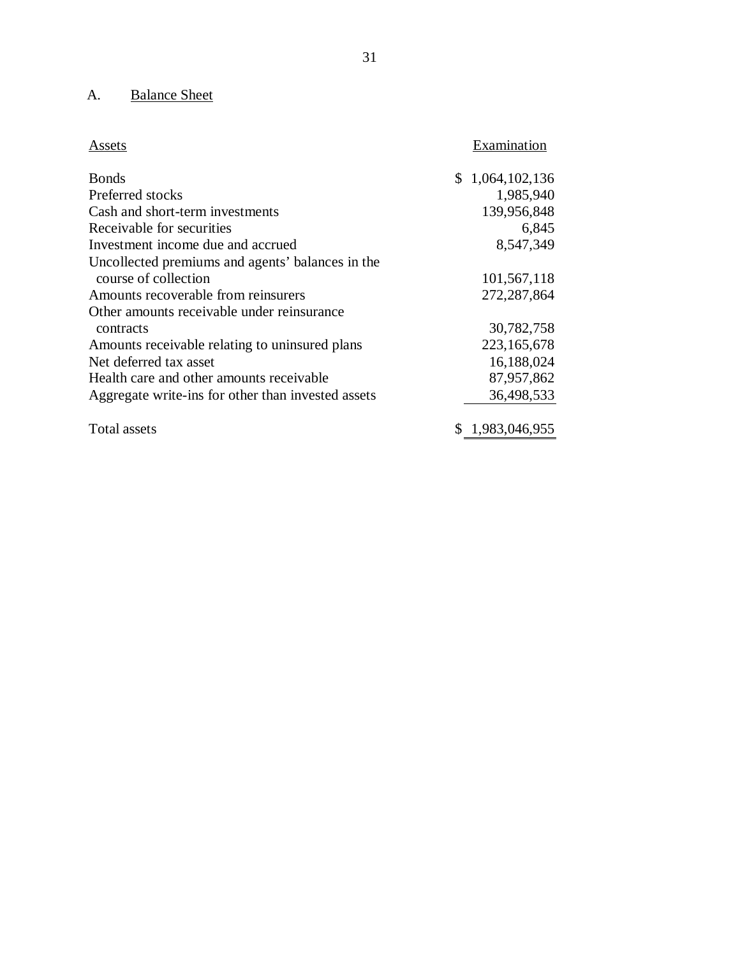#### A. Balance Sheet

| Assets                                             | Examination     |
|----------------------------------------------------|-----------------|
| <b>B</b> onds                                      | \$1,064,102,136 |
| Preferred stocks                                   | 1,985,940       |
| Cash and short-term investments                    | 139,956,848     |
| Receivable for securities                          | 6,845           |
| Investment income due and accrued                  | 8,547,349       |
| Uncollected premiums and agents' balances in the   |                 |
| course of collection                               | 101,567,118     |
| Amounts recoverable from reinsurers                | 272, 287, 864   |
| Other amounts receivable under reinsurance         |                 |
| contracts                                          | 30,782,758      |
| Amounts receivable relating to uninsured plans     | 223,165,678     |
| Net deferred tax asset                             | 16,188,024      |
| Health care and other amounts receivable           | 87,957,862      |
| Aggregate write-ins for other than invested assets | 36,498,533      |
| Total assets                                       | \$1,983,046,955 |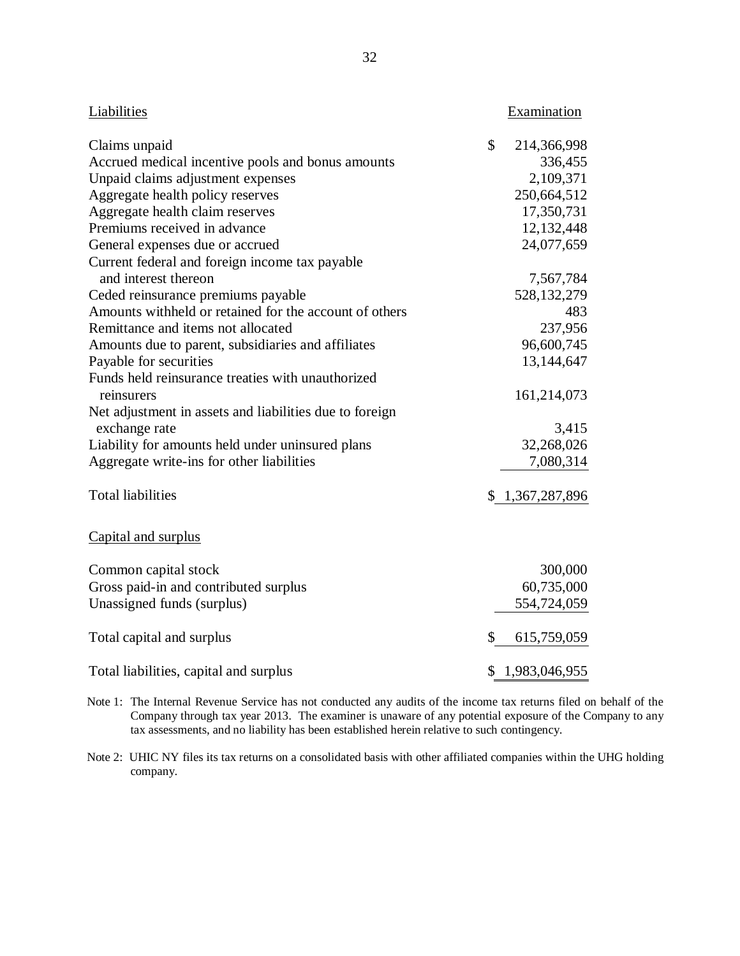| Liabilities                                             | Examination         |
|---------------------------------------------------------|---------------------|
| Claims unpaid                                           | \$<br>214,366,998   |
| Accrued medical incentive pools and bonus amounts       | 336,455             |
| Unpaid claims adjustment expenses                       | 2,109,371           |
| Aggregate health policy reserves                        | 250,664,512         |
| Aggregate health claim reserves                         | 17,350,731          |
| Premiums received in advance                            | 12,132,448          |
| General expenses due or accrued                         | 24,077,659          |
| Current federal and foreign income tax payable          |                     |
| and interest thereon                                    | 7,567,784           |
| Ceded reinsurance premiums payable                      | 528, 132, 279       |
| Amounts withheld or retained for the account of others  | 483                 |
| Remittance and items not allocated                      | 237,956             |
| Amounts due to parent, subsidiaries and affiliates      | 96,600,745          |
| Payable for securities                                  | 13,144,647          |
| Funds held reinsurance treaties with unauthorized       |                     |
| reinsurers                                              | 161,214,073         |
| Net adjustment in assets and liabilities due to foreign |                     |
| exchange rate                                           | 3,415               |
| Liability for amounts held under uninsured plans        | 32,268,026          |
| Aggregate write-ins for other liabilities               | 7,080,314           |
| <b>Total liabilities</b>                                | \$1,367,287,896     |
| Capital and surplus                                     |                     |
| Common capital stock                                    | 300,000             |
| Gross paid-in and contributed surplus                   | 60,735,000          |
| Unassigned funds (surplus)                              | 554,724,059         |
| Total capital and surplus                               | \$<br>615,759,059   |
| Total liabilities, capital and surplus                  | \$<br>1,983,046,955 |

 Note 1: The Internal Revenue Service has not conducted any audits of the income tax returns filed on behalf of the Company through tax year 2013. The examiner is unaware of any potential exposure of the Company to any tax assessments, and no liability has been established herein relative to such contingency.

 Note 2: UHIC NY files its tax returns on a consolidated basis with other affiliated companies within the UHG holding company.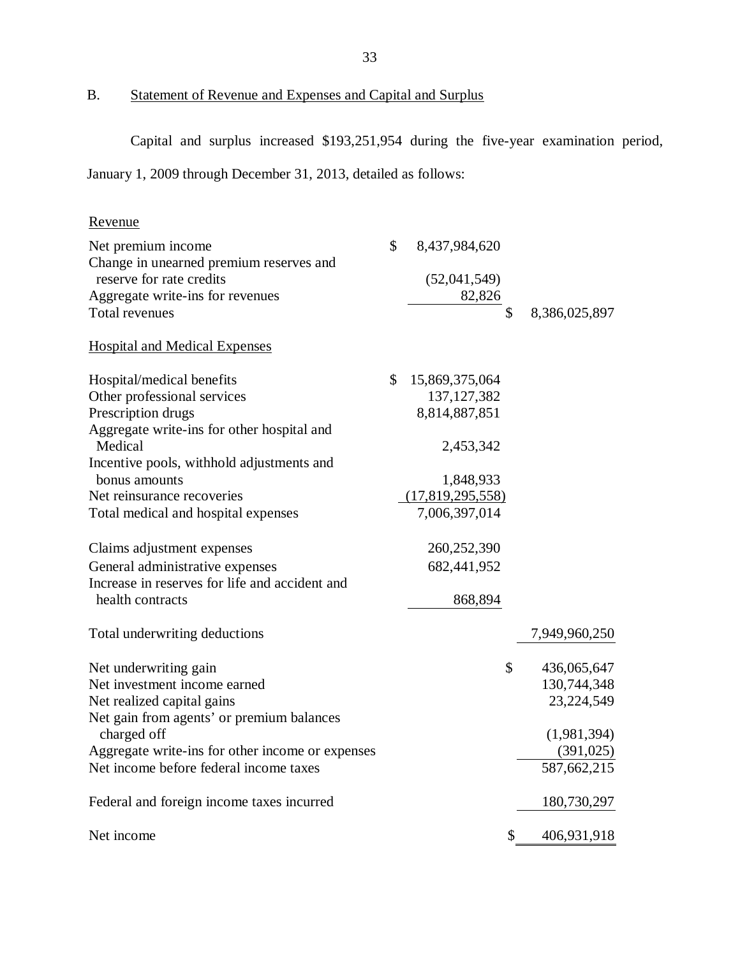B. Statement of Revenue and Expenses and Capital and Surplus

Capital and surplus increased \$193,251,954 during the five-year examination period,

January 1, 2009 through December 31, 2013, detailed as follows:

# Revenue

| Net premium income                               | \$<br>8,437,984,620  |                     |
|--------------------------------------------------|----------------------|---------------------|
| Change in unearned premium reserves and          |                      |                     |
| reserve for rate credits                         | (52,041,549)         |                     |
| Aggregate write-ins for revenues                 | 82,826               |                     |
| Total revenues                                   |                      | \$<br>8,386,025,897 |
| <b>Hospital and Medical Expenses</b>             |                      |                     |
| Hospital/medical benefits                        | \$<br>15,869,375,064 |                     |
| Other professional services                      | 137, 127, 382        |                     |
| Prescription drugs                               | 8,814,887,851        |                     |
| Aggregate write-ins for other hospital and       |                      |                     |
| Medical                                          | 2,453,342            |                     |
| Incentive pools, withhold adjustments and        |                      |                     |
| bonus amounts                                    | 1,848,933            |                     |
| Net reinsurance recoveries                       | (17,819,295,558)     |                     |
| Total medical and hospital expenses              | 7,006,397,014        |                     |
| Claims adjustment expenses                       | 260,252,390          |                     |
| General administrative expenses                  | 682,441,952          |                     |
| Increase in reserves for life and accident and   |                      |                     |
| health contracts                                 | 868,894              |                     |
| Total underwriting deductions                    |                      | 7,949,960,250       |
| Net underwriting gain                            |                      | \$<br>436,065,647   |
| Net investment income earned                     |                      | 130,744,348         |
| Net realized capital gains                       |                      | 23,224,549          |
| Net gain from agents' or premium balances        |                      |                     |
| charged off                                      |                      | (1,981,394)         |
| Aggregate write-ins for other income or expenses |                      | (391, 025)          |
| Net income before federal income taxes           |                      | 587,662,215         |
| Federal and foreign income taxes incurred        |                      | 180,730,297         |
| Net income                                       |                      | \$<br>406,931,918   |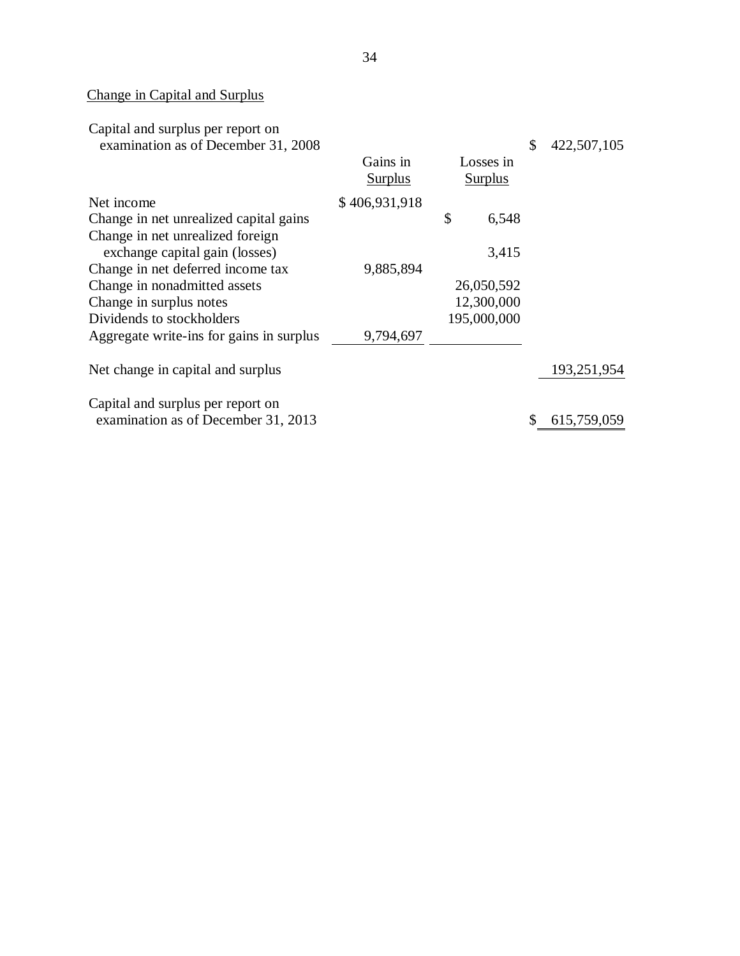#### Change in Capital and Surplus

| Capital and surplus per report on                                        |                            |                      |       |             |
|--------------------------------------------------------------------------|----------------------------|----------------------|-------|-------------|
| examination as of December 31, 2008                                      | Gains in<br><b>Surplus</b> | Losses in<br>Surplus | \$    | 422,507,105 |
| Net income                                                               | \$406,931,918              |                      |       |             |
| Change in net unrealized capital gains                                   |                            | \$                   | 6,548 |             |
| Change in net unrealized foreign<br>exchange capital gain (losses)       |                            |                      | 3,415 |             |
| Change in net deferred income tax                                        | 9,885,894                  |                      |       |             |
| Change in nonadmitted assets                                             |                            | 26,050,592           |       |             |
| Change in surplus notes                                                  |                            | 12,300,000           |       |             |
| Dividends to stockholders                                                |                            | 195,000,000          |       |             |
| Aggregate write-ins for gains in surplus                                 | 9,794,697                  |                      |       |             |
| Net change in capital and surplus                                        |                            |                      |       | 193,251,954 |
| Capital and surplus per report on<br>examination as of December 31, 2013 |                            |                      | \$    | 615,759,059 |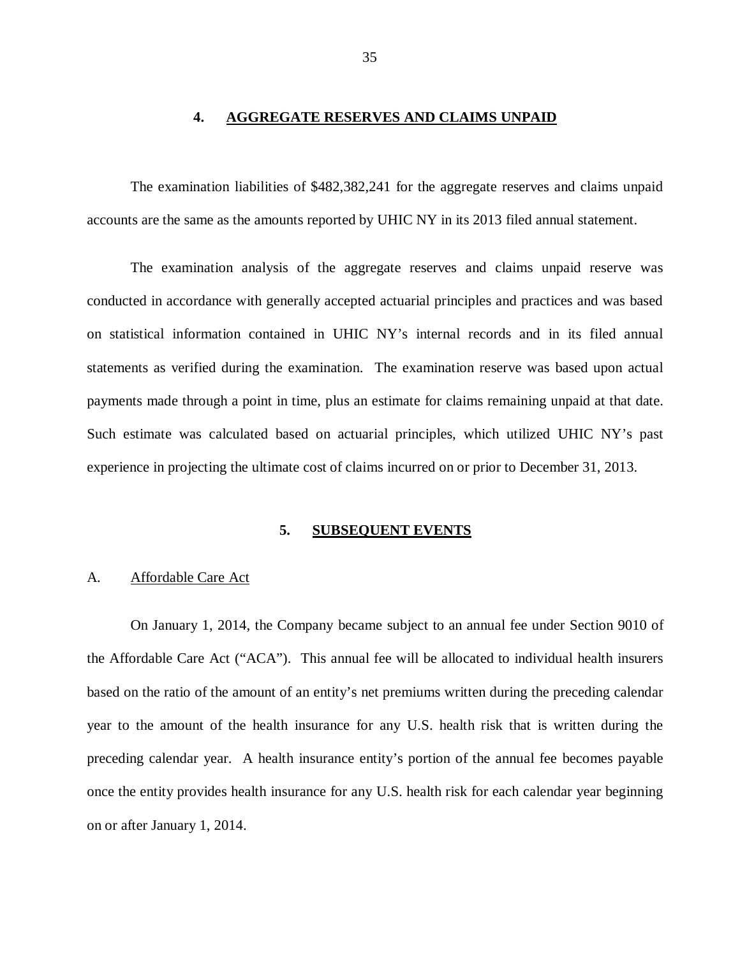#### **4. AGGREGATE RESERVES AND CLAIMS UNPAID**

<span id="page-36-0"></span> The examination liabilities of \$482,382,241 for the aggregate reserves and claims unpaid accounts are the same as the amounts reported by UHIC NY in its 2013 filed annual statement.

 The examination analysis of the aggregate reserves and claims unpaid reserve was conducted in accordance with generally accepted actuarial principles and practices and was based on statistical information contained in UHIC NY's internal records and in its filed annual statements as verified during the examination. The examination reserve was based upon actual payments made through a point in time, plus an estimate for claims remaining unpaid at that date. Such estimate was calculated based on actuarial principles, which utilized UHIC NY's past experience in projecting the ultimate cost of claims incurred on or prior to December 31, 2013.

#### **5. SUBSEQUENT EVENTS**

#### A. Affordable Care Act

 On January 1, 2014, the Company became subject to an annual fee under Section 9010 of the Affordable Care Act ("ACA"). This annual fee will be allocated to individual health insurers based on the ratio of the amount of an entity's net premiums written during the preceding calendar year to the amount of the health insurance for any U.S. health risk that is written during the preceding calendar year. A health insurance entity's portion of the annual fee becomes payable once the entity provides health insurance for any U.S. health risk for each calendar year beginning on or after January 1, 2014.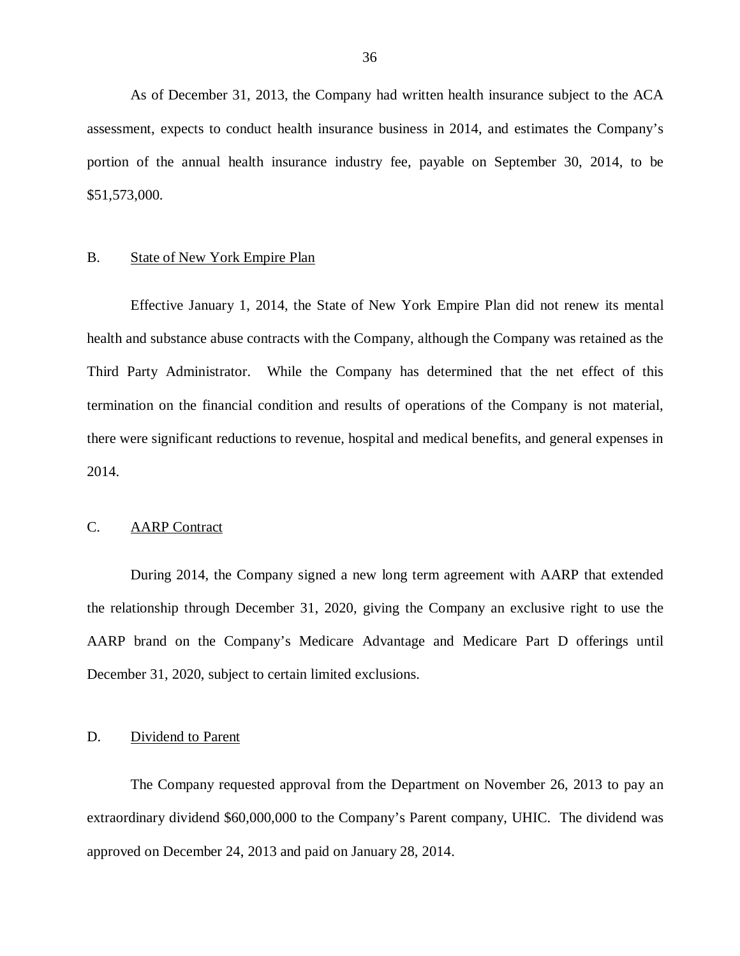As of December 31, 2013, the Company had written health insurance subject to the ACA assessment, expects to conduct health insurance business in 2014, and estimates the Company's portion of the annual health insurance industry fee, payable on September 30, 2014, to be \$51,573,000.

#### **B. State of New York Empire Plan**

 Effective January 1, 2014, the State of New York Empire Plan did not renew its mental health and substance abuse contracts with the Company, although the Company was retained as the Third Party Administrator. While the Company has determined that the net effect of this termination on the financial condition and results of operations of the Company is not material, there were significant reductions to revenue, hospital and medical benefits, and general expenses in 2014.

#### $C_{\cdot}$ **AARP** Contract

 During 2014, the Company signed a new long term agreement with AARP that extended the relationship through December 31, 2020, giving the Company an exclusive right to use the AARP brand on the Company's Medicare Advantage and Medicare Part D offerings until December 31, 2020, subject to certain limited exclusions.

#### D. Dividend to Parent

 The Company requested approval from the Department on November 26, 2013 to pay an extraordinary dividend \$60,000,000 to the Company's Parent company, UHIC. The dividend was approved on December 24, 2013 and paid on January 28, 2014.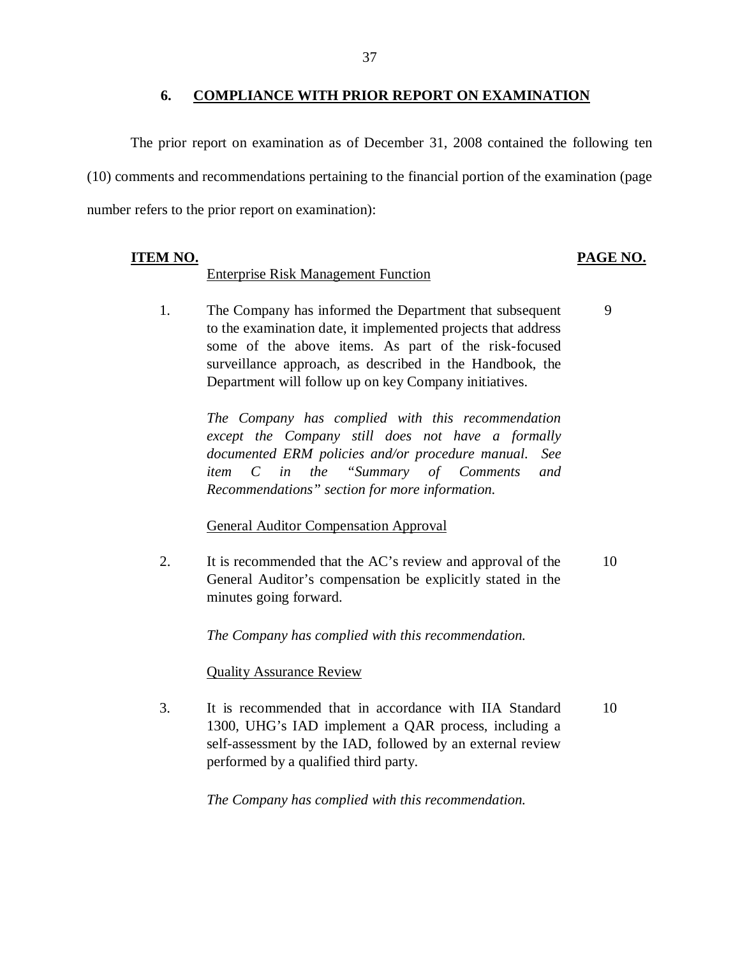#### **6. COMPLIANCE WITH PRIOR REPORT ON EXAMINATION**

 The prior report on examination as of December 31, 2008 contained the following ten (10) comments and recommendations pertaining to the financial portion of the examination (page number refers to the prior report on examination):

# **ITEM NO.**

# Enterprise Risk Management Function

## **PAGE NO.**

9

1. to the examination date, it implemented projects that address some of the above items. As part of the risk-focused surveillance approach, as described in the Handbook, the Department will follow up on key Company initiatives. The Company has informed the Department that subsequent

> *The Company has complied with this recommendation except the Company still does not have a formally documented ERM policies and/or procedure manual. See*   $C$  *in Recommendations" section for more information. item C in the "Summary of Comments and*

# **General Auditor Compensation Approval**

2. General Auditor's compensation be explicitly stated in the minutes going forward. It is recommended that the AC's review and approval of the 10

 *The Company has complied with this recommendation.* 

## **Quality Assurance Review**

 $\overline{3}$ . 1300, UHG's IAD implement a QAR process, including a self-assessment by the IAD, followed by an external review performed by a qualified third party. It is recommended that in accordance with IIA Standard 10

 *The Company has complied with this recommendation.*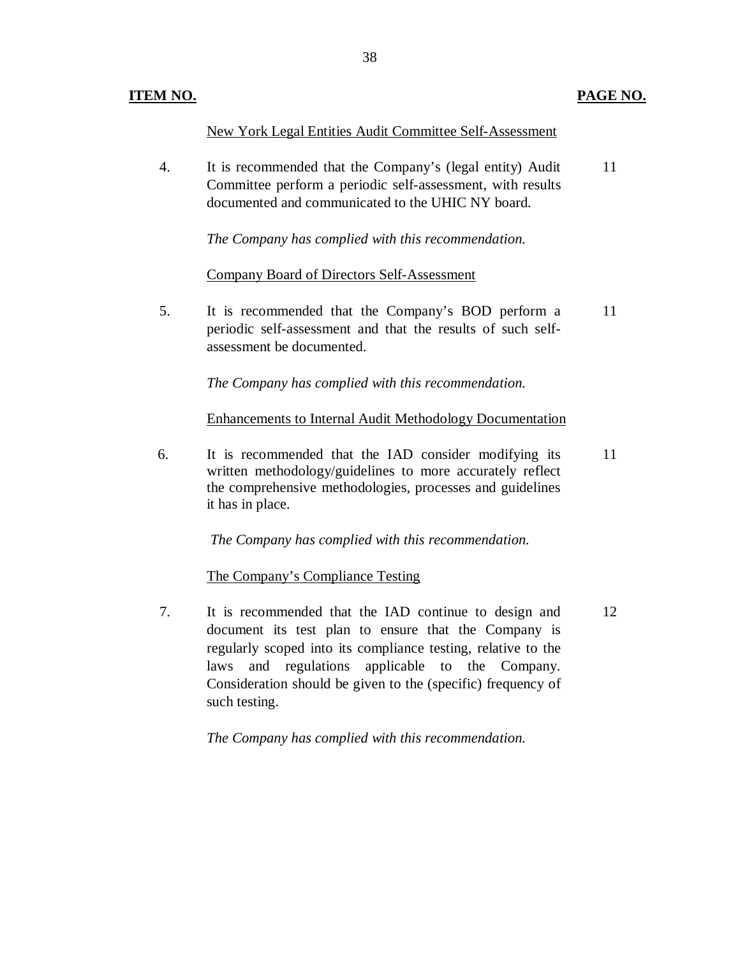## **ITEM NO. PAGE NO.**

New York Legal Entities Audit Committee Self-Assessment

 $\overline{4}$ . Committee perform a periodic self-assessment, with results documented and communicated to the UHIC NY board. It is recommended that the Company's (legal entity) Audit 11

 *The Company has complied with this recommendation.* 

## Company Board of Directors Self-Assessment

5. periodic self-assessment and that the results of such self- assessment be documented. It is recommended that the Company's BOD perform a 11

 *The Company has complied with this recommendation.* 

Enhancements to Internal Audit Methodology Documentation

6. written methodology/guidelines to more accurately reflect the comprehensive methodologies, processes and guidelines it has in place. It is recommended that the IAD consider modifying its 11

*The Company has complied with this recommendation.* 

The Company's Compliance Testing

 $7.$  document its test plan to ensure that the Company is regularly scoped into its compliance testing, relative to the laws and regulations applicable to the Company. Consideration should be given to the (specific) frequency of such testing. It is recommended that the IAD continue to design and 12

 *The Company has complied with this recommendation.*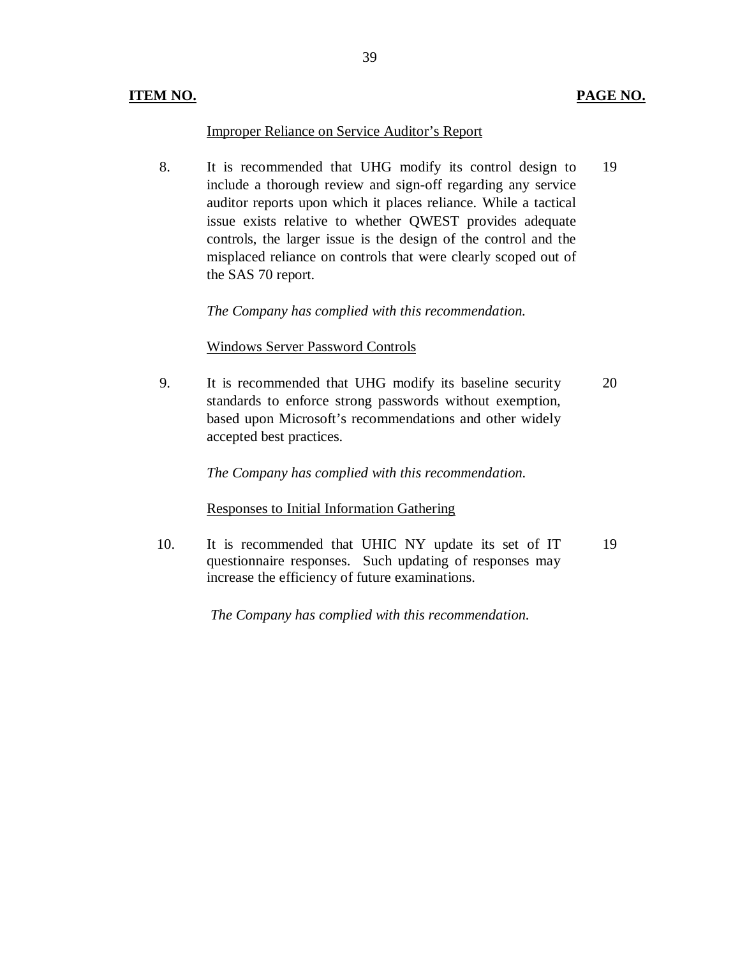### **ITEM NO. PAGE NO.**

# Improper Reliance on Service Auditor's Report

 8. It is recommended that UHG modify its control design to 19 include a thorough review and sign-off regarding any service auditor reports upon which it places reliance. While a tactical issue exists relative to whether QWEST provides adequate controls, the larger issue is the design of the control and the misplaced reliance on controls that were clearly scoped out of the SAS 70 report.

 *The Company has complied with this recommendation.* 

# Windows Server Password Controls

9. standards to enforce strong passwords without exemption, based upon Microsoft's recommendations and other widely accepted best practices. It is recommended that UHG modify its baseline security 20

 *The Company has complied with this recommendation.* 

# Responses to Initial Information Gathering

10. questionnaire responses. Such updating of responses may increase the efficiency of future examinations. It is recommended that UHIC NY update its set of IT 19

*The Company has complied with this recommendation.*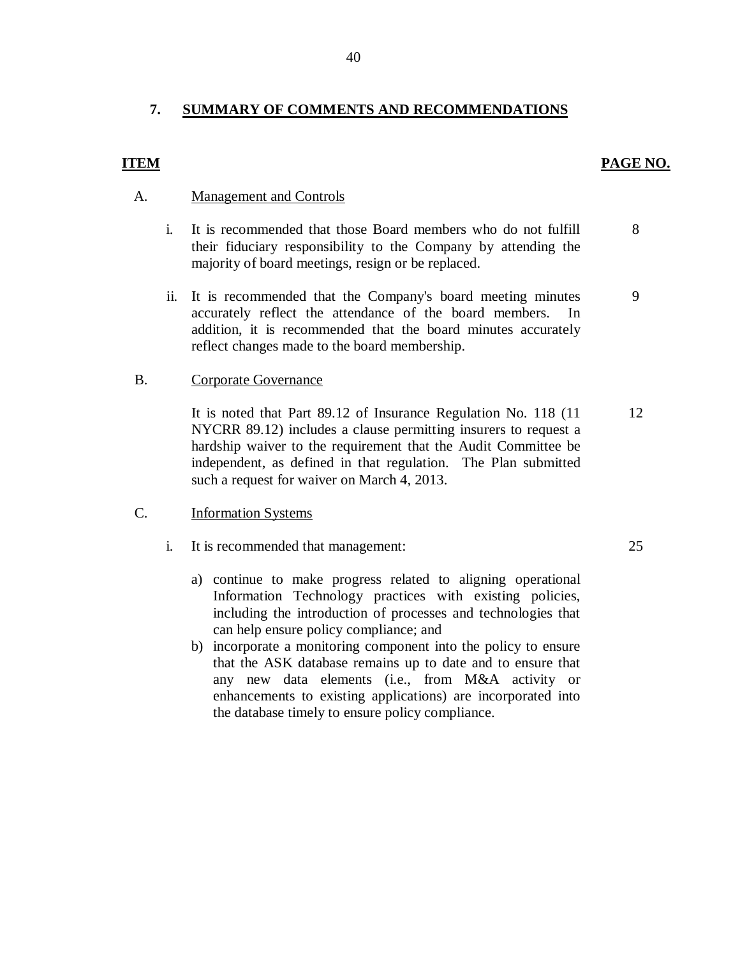#### **7. SUMMARY OF COMMENTS AND RECOMMENDATIONS**

## **ITEM** PAGE NO.

8

9

## A. Management and Controls

- $\mathbf{i}$ . their fiduciary responsibility to the Company by attending the majority of board meetings, resign or be replaced. It is recommended that those Board members who do not fulfill
- ii. It is recommended that the Company's board meeting minutes accurately reflect the attendance of the board members. In addition, it is recommended that the board minutes accurately reflect changes made to the board membership.

### B. Corporate Governance

 NYCRR 89.12) includes a clause permitting insurers to request a hardship waiver to the requirement that the Audit Committee be independent, as defined in that regulation. The Plan submitted such a request for waiver on March 4, 2013. It is noted that Part 89.12 of Insurance Regulation No. 118 (11 12

## C. Information Systems

- $i_{\cdot}$ It is recommended that management: 25
	- a) continue to make progress related to aligning operational Information Technology practices with existing policies, including the introduction of processes and technologies that can help ensure policy compliance; and
	- b) incorporate a monitoring component into the policy to ensure that the ASK database remains up to date and to ensure that any new data elements (i.e., from M&A activity or enhancements to existing applications) are incorporated into the database timely to ensure policy compliance.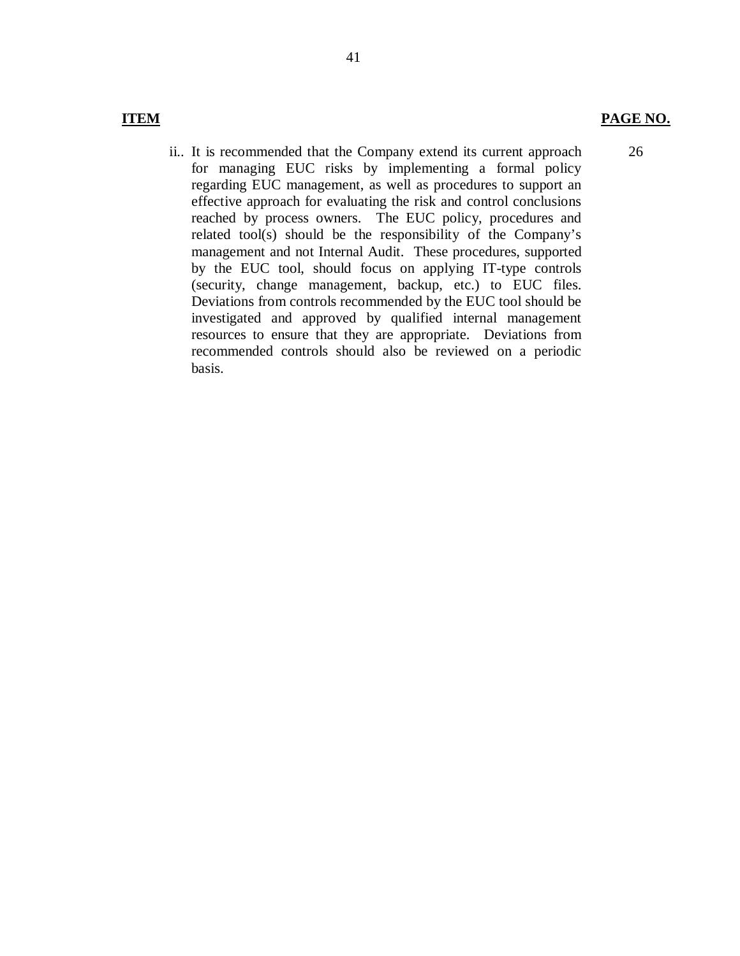# **ITEM**

## **PAGE NO.**

26

 ii.. It is recommended that the Company extend its current approach for managing EUC risks by implementing a formal policy regarding EUC management, as well as procedures to support an effective approach for evaluating the risk and control conclusions reached by process owners. The EUC policy, procedures and related tool(s) should be the responsibility of the Company's management and not Internal Audit. These procedures, supported by the EUC tool, should focus on applying IT-type controls (security, change management, backup, etc.) to EUC files. Deviations from controls recommended by the EUC tool should be resources to ensure that they are appropriate. Deviations from recommended controls should also be reviewed on a periodic investigated and approved by qualified internal management basis.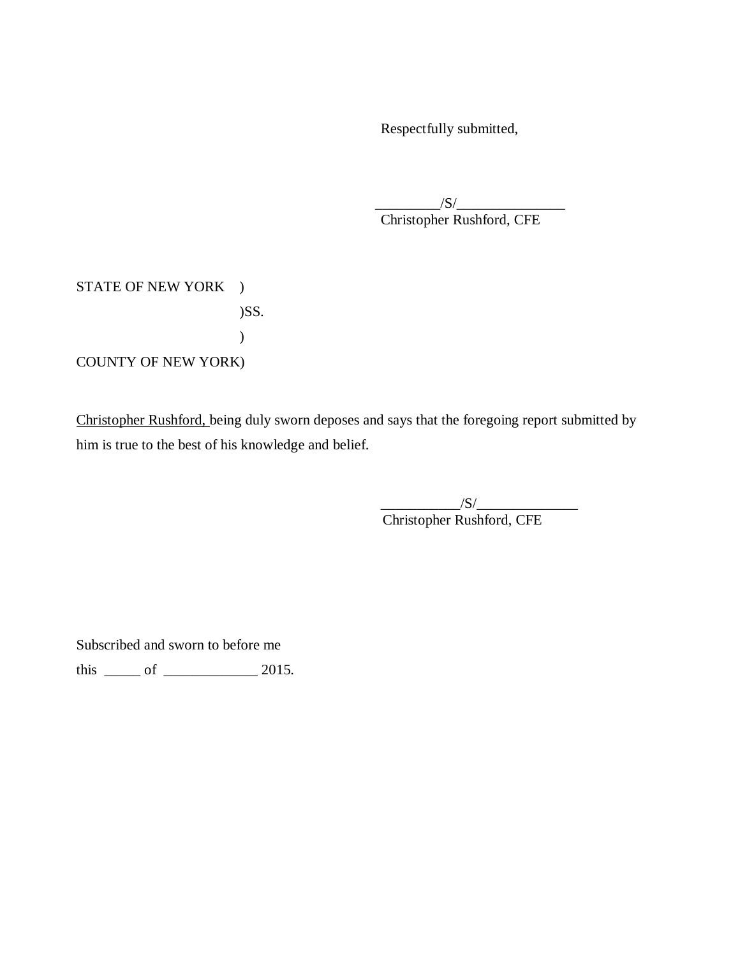Respectfully submitted,

 Christopher Rushford, CFE  $/S/$ 

STATE OF NEW YORK ) COUNTY OF NEW YORK) )SS. )

Christopher Rushford, being duly sworn deposes and says that the foregoing report submitted by him is true to the best of his knowledge and belief.

 $/S/$ 

Christopher Rushford, CFE

Subscribed and sworn to before me

this  $\frac{\ }{\ }$  of  $\frac{\ }{\ }$  2015.